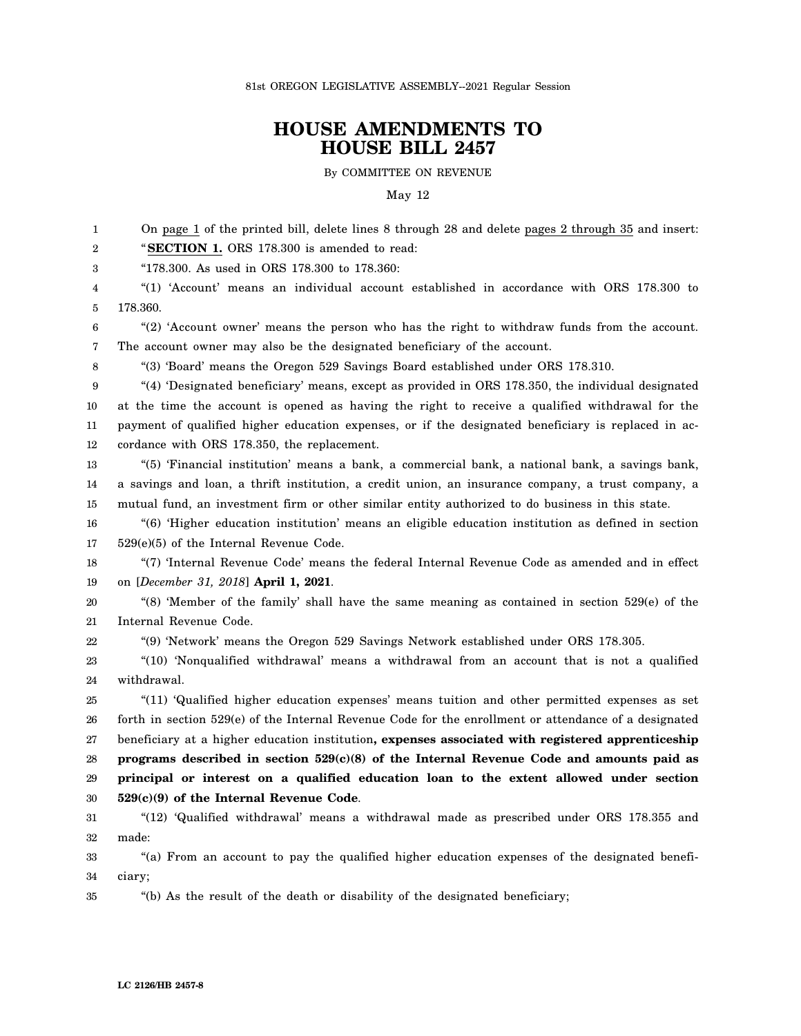81st OREGON LEGISLATIVE ASSEMBLY--2021 Regular Session

## **HOUSE AMENDMENTS TO HOUSE BILL 2457**

By COMMITTEE ON REVENUE

## May 12

1 2 3 4 5 6 7 8 9 10 11 12 13 14 15 16 17 18 19 20 21 22 23 24 25 26 27 28 29 30 31 32 33 34 35 On page 1 of the printed bill, delete lines 8 through 28 and delete pages 2 through 35 and insert: "**SECTION 1.** ORS 178.300 is amended to read: "178.300. As used in ORS 178.300 to 178.360: "(1) 'Account' means an individual account established in accordance with ORS 178.300 to 178.360. "(2) 'Account owner' means the person who has the right to withdraw funds from the account. The account owner may also be the designated beneficiary of the account. "(3) 'Board' means the Oregon 529 Savings Board established under ORS 178.310. "(4) 'Designated beneficiary' means, except as provided in ORS 178.350, the individual designated at the time the account is opened as having the right to receive a qualified withdrawal for the payment of qualified higher education expenses, or if the designated beneficiary is replaced in accordance with ORS 178.350, the replacement. "(5) 'Financial institution' means a bank, a commercial bank, a national bank, a savings bank, a savings and loan, a thrift institution, a credit union, an insurance company, a trust company, a mutual fund, an investment firm or other similar entity authorized to do business in this state. "(6) 'Higher education institution' means an eligible education institution as defined in section 529(e)(5) of the Internal Revenue Code. "(7) 'Internal Revenue Code' means the federal Internal Revenue Code as amended and in effect on [*December 31, 2018*] **April 1, 2021**. "(8) 'Member of the family' shall have the same meaning as contained in section 529(e) of the Internal Revenue Code. "(9) 'Network' means the Oregon 529 Savings Network established under ORS 178.305. "(10) 'Nonqualified withdrawal' means a withdrawal from an account that is not a qualified withdrawal. "(11) 'Qualified higher education expenses' means tuition and other permitted expenses as set forth in section 529(e) of the Internal Revenue Code for the enrollment or attendance of a designated beneficiary at a higher education institution**, expenses associated with registered apprenticeship programs described in section 529(c)(8) of the Internal Revenue Code and amounts paid as principal or interest on a qualified education loan to the extent allowed under section 529(c)(9) of the Internal Revenue Code**. "(12) 'Qualified withdrawal' means a withdrawal made as prescribed under ORS 178.355 and made: "(a) From an account to pay the qualified higher education expenses of the designated beneficiary; "(b) As the result of the death or disability of the designated beneficiary;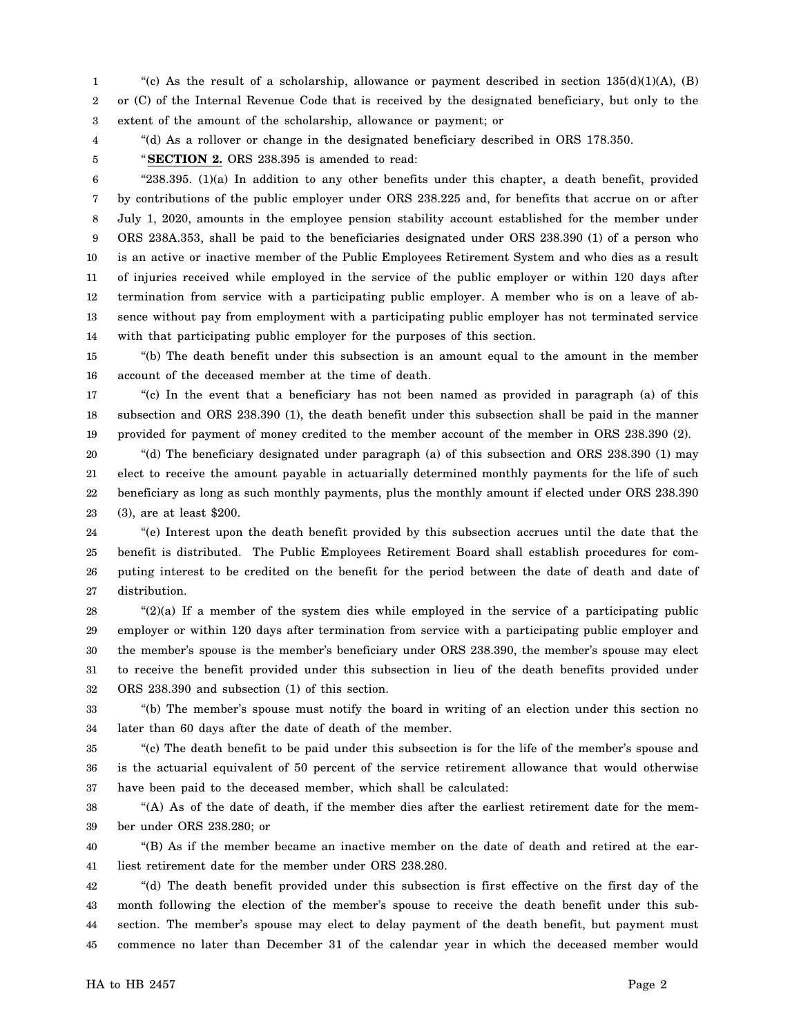1 2 3 "(c) As the result of a scholarship, allowance or payment described in section  $135(d)(1)(A)$ , (B) or (C) of the Internal Revenue Code that is received by the designated beneficiary, but only to the extent of the amount of the scholarship, allowance or payment; or

4 5

"(d) As a rollover or change in the designated beneficiary described in ORS 178.350. "**SECTION 2.** ORS 238.395 is amended to read:

6 7 8 9 10 11 12 13 14 "238.395. (1)(a) In addition to any other benefits under this chapter, a death benefit, provided by contributions of the public employer under ORS 238.225 and, for benefits that accrue on or after July 1, 2020, amounts in the employee pension stability account established for the member under ORS 238A.353, shall be paid to the beneficiaries designated under ORS 238.390 (1) of a person who is an active or inactive member of the Public Employees Retirement System and who dies as a result of injuries received while employed in the service of the public employer or within 120 days after termination from service with a participating public employer. A member who is on a leave of absence without pay from employment with a participating public employer has not terminated service with that participating public employer for the purposes of this section.

15 16 "(b) The death benefit under this subsection is an amount equal to the amount in the member account of the deceased member at the time of death.

17 18 19 "(c) In the event that a beneficiary has not been named as provided in paragraph (a) of this subsection and ORS 238.390 (1), the death benefit under this subsection shall be paid in the manner provided for payment of money credited to the member account of the member in ORS 238.390 (2).

20 21 22 23 "(d) The beneficiary designated under paragraph (a) of this subsection and ORS 238.390 (1) may elect to receive the amount payable in actuarially determined monthly payments for the life of such beneficiary as long as such monthly payments, plus the monthly amount if elected under ORS 238.390 (3), are at least \$200.

24 25 26 27 "(e) Interest upon the death benefit provided by this subsection accrues until the date that the benefit is distributed. The Public Employees Retirement Board shall establish procedures for computing interest to be credited on the benefit for the period between the date of death and date of distribution.

28 29 30 31 32 "(2)(a) If a member of the system dies while employed in the service of a participating public employer or within 120 days after termination from service with a participating public employer and the member's spouse is the member's beneficiary under ORS 238.390, the member's spouse may elect to receive the benefit provided under this subsection in lieu of the death benefits provided under ORS 238.390 and subsection (1) of this section.

33 34 "(b) The member's spouse must notify the board in writing of an election under this section no later than 60 days after the date of death of the member.

35 36 37 "(c) The death benefit to be paid under this subsection is for the life of the member's spouse and is the actuarial equivalent of 50 percent of the service retirement allowance that would otherwise have been paid to the deceased member, which shall be calculated:

38 39 "(A) As of the date of death, if the member dies after the earliest retirement date for the member under ORS 238.280; or

40 41 "(B) As if the member became an inactive member on the date of death and retired at the earliest retirement date for the member under ORS 238.280.

42 43 44 45 "(d) The death benefit provided under this subsection is first effective on the first day of the month following the election of the member's spouse to receive the death benefit under this subsection. The member's spouse may elect to delay payment of the death benefit, but payment must commence no later than December 31 of the calendar year in which the deceased member would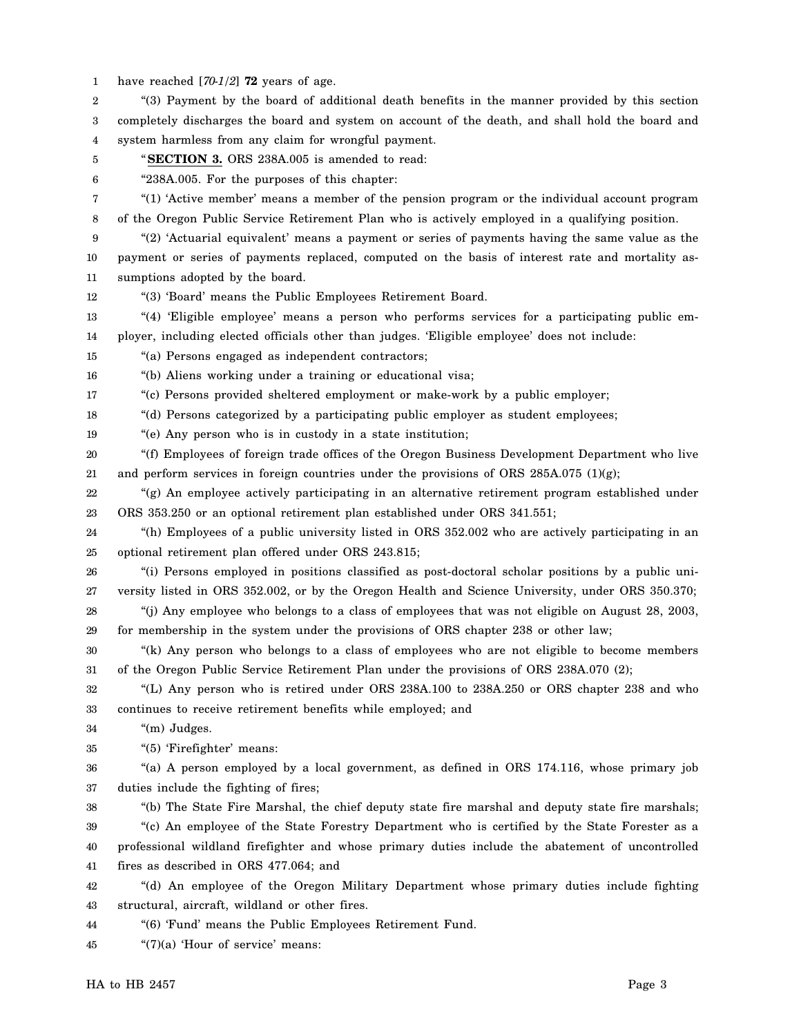1 have reached [*70-1/2*] **72** years of age.

2 3 4 "(3) Payment by the board of additional death benefits in the manner provided by this section completely discharges the board and system on account of the death, and shall hold the board and system harmless from any claim for wrongful payment.

- 5 "**SECTION 3.** ORS 238A.005 is amended to read:
- 6

"238A.005. For the purposes of this chapter:

7 8 "(1) 'Active member' means a member of the pension program or the individual account program of the Oregon Public Service Retirement Plan who is actively employed in a qualifying position.

- 9 10 11 "(2) 'Actuarial equivalent' means a payment or series of payments having the same value as the payment or series of payments replaced, computed on the basis of interest rate and mortality assumptions adopted by the board.
- 12 "(3) 'Board' means the Public Employees Retirement Board.
- 13 14 "(4) 'Eligible employee' means a person who performs services for a participating public employer, including elected officials other than judges. 'Eligible employee' does not include:
- 15 "(a) Persons engaged as independent contractors;
- 16 "(b) Aliens working under a training or educational visa;
- 17 "(c) Persons provided sheltered employment or make-work by a public employer;
- 18 "(d) Persons categorized by a participating public employer as student employees;
- 19 "(e) Any person who is in custody in a state institution;
- 20 21 "(f) Employees of foreign trade offices of the Oregon Business Development Department who live and perform services in foreign countries under the provisions of ORS 285A.075 (1)(g);
- 22 23 "(g) An employee actively participating in an alternative retirement program established under ORS 353.250 or an optional retirement plan established under ORS 341.551;
- 24 25 "(h) Employees of a public university listed in ORS 352.002 who are actively participating in an optional retirement plan offered under ORS 243.815;
- 26 27 "(i) Persons employed in positions classified as post-doctoral scholar positions by a public university listed in ORS 352.002, or by the Oregon Health and Science University, under ORS 350.370;
- 28 29 "(j) Any employee who belongs to a class of employees that was not eligible on August 28, 2003, for membership in the system under the provisions of ORS chapter 238 or other law;
- 30 31 "(k) Any person who belongs to a class of employees who are not eligible to become members of the Oregon Public Service Retirement Plan under the provisions of ORS 238A.070 (2);
- 32 33 "(L) Any person who is retired under ORS 238A.100 to 238A.250 or ORS chapter 238 and who continues to receive retirement benefits while employed; and
- 34 "(m) Judges.
- 35 "(5) 'Firefighter' means:
- 36 37 "(a) A person employed by a local government, as defined in ORS 174.116, whose primary job duties include the fighting of fires;
- 38 39 40 41 "(b) The State Fire Marshal, the chief deputy state fire marshal and deputy state fire marshals; "(c) An employee of the State Forestry Department who is certified by the State Forester as a professional wildland firefighter and whose primary duties include the abatement of uncontrolled fires as described in ORS 477.064; and
- 42 43 "(d) An employee of the Oregon Military Department whose primary duties include fighting structural, aircraft, wildland or other fires.
- 44 "(6) 'Fund' means the Public Employees Retirement Fund.
- 45 "(7)(a) 'Hour of service' means: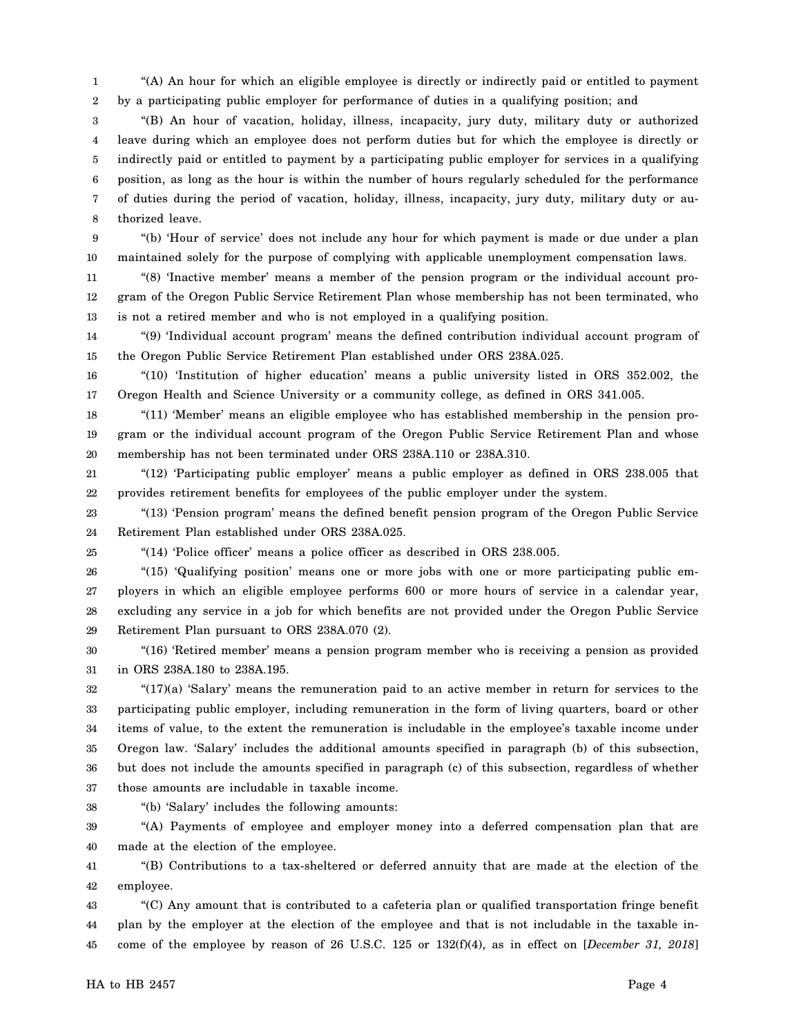1 2 "(A) An hour for which an eligible employee is directly or indirectly paid or entitled to payment by a participating public employer for performance of duties in a qualifying position; and

3 4 5 6 7 8 "(B) An hour of vacation, holiday, illness, incapacity, jury duty, military duty or authorized leave during which an employee does not perform duties but for which the employee is directly or indirectly paid or entitled to payment by a participating public employer for services in a qualifying position, as long as the hour is within the number of hours regularly scheduled for the performance of duties during the period of vacation, holiday, illness, incapacity, jury duty, military duty or authorized leave.

9 10 "(b) 'Hour of service' does not include any hour for which payment is made or due under a plan maintained solely for the purpose of complying with applicable unemployment compensation laws.

11 12 13 "(8) 'Inactive member' means a member of the pension program or the individual account program of the Oregon Public Service Retirement Plan whose membership has not been terminated, who is not a retired member and who is not employed in a qualifying position.

14 15 "(9) 'Individual account program' means the defined contribution individual account program of the Oregon Public Service Retirement Plan established under ORS 238A.025.

16 17 "(10) 'Institution of higher education' means a public university listed in ORS 352.002, the Oregon Health and Science University or a community college, as defined in ORS 341.005.

18 19 20 "(11) 'Member' means an eligible employee who has established membership in the pension program or the individual account program of the Oregon Public Service Retirement Plan and whose membership has not been terminated under ORS 238A.110 or 238A.310.

21 22 "(12) 'Participating public employer' means a public employer as defined in ORS 238.005 that provides retirement benefits for employees of the public employer under the system.

23 24 "(13) 'Pension program' means the defined benefit pension program of the Oregon Public Service Retirement Plan established under ORS 238A.025.

25

"(14) 'Police officer' means a police officer as described in ORS 238.005.

26 27 28 29 "(15) 'Qualifying position' means one or more jobs with one or more participating public employers in which an eligible employee performs 600 or more hours of service in a calendar year, excluding any service in a job for which benefits are not provided under the Oregon Public Service Retirement Plan pursuant to ORS 238A.070 (2).

30 31 "(16) 'Retired member' means a pension program member who is receiving a pension as provided in ORS 238A.180 to 238A.195.

32 33 34 35 36 37 "(17)(a) 'Salary' means the remuneration paid to an active member in return for services to the participating public employer, including remuneration in the form of living quarters, board or other items of value, to the extent the remuneration is includable in the employee's taxable income under Oregon law. 'Salary' includes the additional amounts specified in paragraph (b) of this subsection, but does not include the amounts specified in paragraph (c) of this subsection, regardless of whether those amounts are includable in taxable income.

38

"(b) 'Salary' includes the following amounts:

39 40 "(A) Payments of employee and employer money into a deferred compensation plan that are made at the election of the employee.

41 42 "(B) Contributions to a tax-sheltered or deferred annuity that are made at the election of the employee.

43 44 45 "(C) Any amount that is contributed to a cafeteria plan or qualified transportation fringe benefit plan by the employer at the election of the employee and that is not includable in the taxable income of the employee by reason of 26 U.S.C. 125 or 132(f)(4), as in effect on [*December 31, 2018*]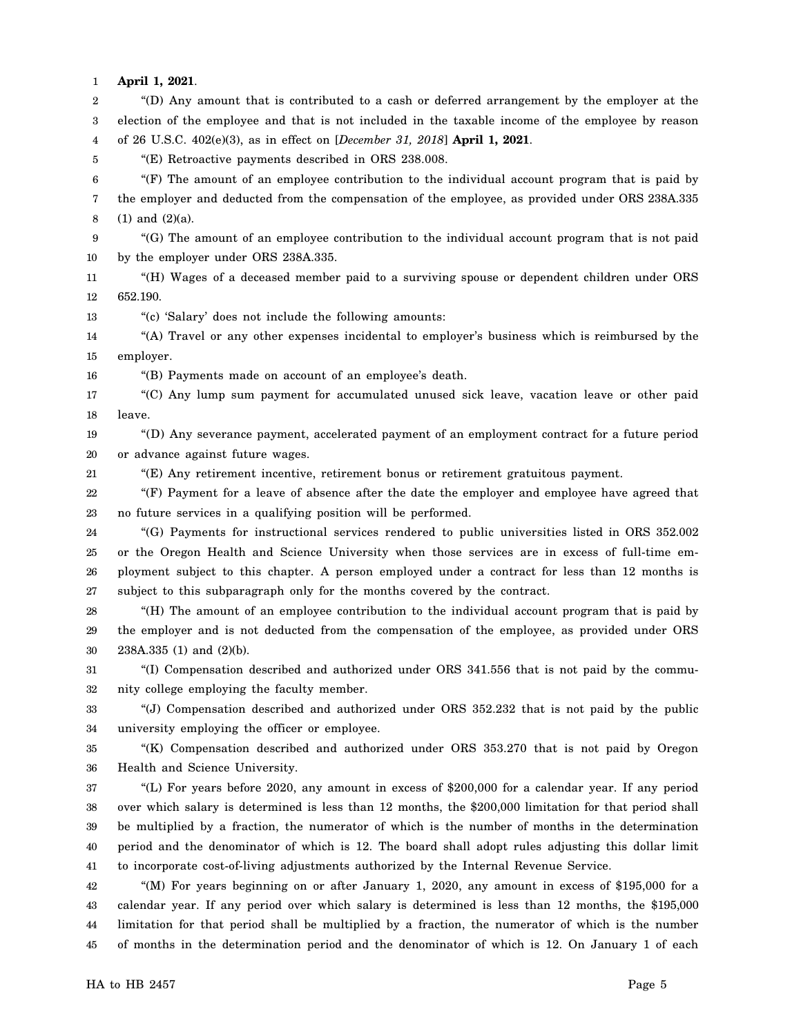1 **April 1, 2021**.

2 3 4 5 6 7 8 9 10 11 12 13 14 15 16 17 18 19 20 21 22 23 24 25 26 27 28 29 30 31 32 33 34 35 36 37 38 39 40 41 42 43 44 45 "(D) Any amount that is contributed to a cash or deferred arrangement by the employer at the election of the employee and that is not included in the taxable income of the employee by reason of 26 U.S.C. 402(e)(3), as in effect on [*December 31, 2018*] **April 1, 2021**. "(E) Retroactive payments described in ORS 238.008. "(F) The amount of an employee contribution to the individual account program that is paid by the employer and deducted from the compensation of the employee, as provided under ORS 238A.335 (1) and (2)(a). "(G) The amount of an employee contribution to the individual account program that is not paid by the employer under ORS 238A.335. "(H) Wages of a deceased member paid to a surviving spouse or dependent children under ORS 652.190. "(c) 'Salary' does not include the following amounts: "(A) Travel or any other expenses incidental to employer's business which is reimbursed by the employer. "(B) Payments made on account of an employee's death. "(C) Any lump sum payment for accumulated unused sick leave, vacation leave or other paid leave. "(D) Any severance payment, accelerated payment of an employment contract for a future period or advance against future wages. "(E) Any retirement incentive, retirement bonus or retirement gratuitous payment. "(F) Payment for a leave of absence after the date the employer and employee have agreed that no future services in a qualifying position will be performed. "(G) Payments for instructional services rendered to public universities listed in ORS 352.002 or the Oregon Health and Science University when those services are in excess of full-time employment subject to this chapter. A person employed under a contract for less than 12 months is subject to this subparagraph only for the months covered by the contract. "(H) The amount of an employee contribution to the individual account program that is paid by the employer and is not deducted from the compensation of the employee, as provided under ORS 238A.335 (1) and (2)(b). "(I) Compensation described and authorized under ORS 341.556 that is not paid by the community college employing the faculty member. "(J) Compensation described and authorized under ORS 352.232 that is not paid by the public university employing the officer or employee. "(K) Compensation described and authorized under ORS 353.270 that is not paid by Oregon Health and Science University. "(L) For years before 2020, any amount in excess of \$200,000 for a calendar year. If any period over which salary is determined is less than 12 months, the \$200,000 limitation for that period shall be multiplied by a fraction, the numerator of which is the number of months in the determination period and the denominator of which is 12. The board shall adopt rules adjusting this dollar limit to incorporate cost-of-living adjustments authorized by the Internal Revenue Service. "(M) For years beginning on or after January 1, 2020, any amount in excess of \$195,000 for a calendar year. If any period over which salary is determined is less than 12 months, the \$195,000 limitation for that period shall be multiplied by a fraction, the numerator of which is the number of months in the determination period and the denominator of which is 12. On January 1 of each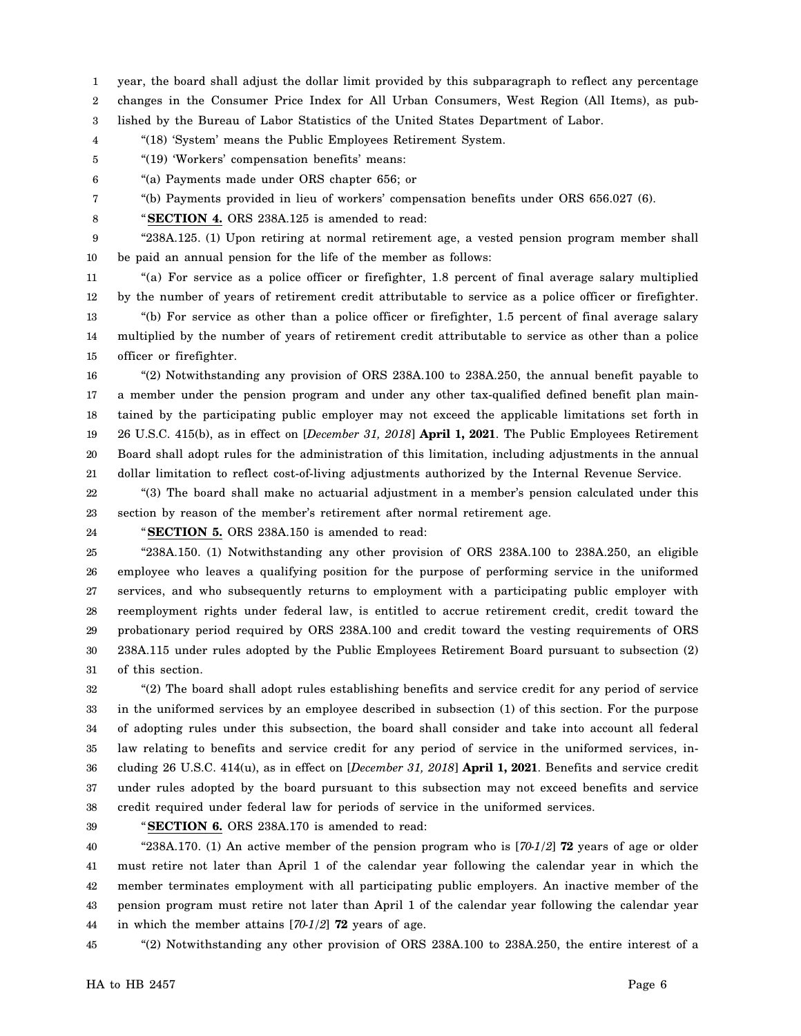1 year, the board shall adjust the dollar limit provided by this subparagraph to reflect any percentage

2 changes in the Consumer Price Index for All Urban Consumers, West Region (All Items), as pub-

3 lished by the Bureau of Labor Statistics of the United States Department of Labor.

4 "(18) 'System' means the Public Employees Retirement System.

5 "(19) 'Workers' compensation benefits' means:

6 "(a) Payments made under ORS chapter 656; or

7 "(b) Payments provided in lieu of workers' compensation benefits under ORS 656.027 (6).

8 "**SECTION 4.** ORS 238A.125 is amended to read:

9 10 "238A.125. (1) Upon retiring at normal retirement age, a vested pension program member shall be paid an annual pension for the life of the member as follows:

11 12 13 "(a) For service as a police officer or firefighter, 1.8 percent of final average salary multiplied by the number of years of retirement credit attributable to service as a police officer or firefighter. "(b) For service as other than a police officer or firefighter, 1.5 percent of final average salary

14 15 multiplied by the number of years of retirement credit attributable to service as other than a police officer or firefighter.

16 17 18 19 20 21 "(2) Notwithstanding any provision of ORS 238A.100 to 238A.250, the annual benefit payable to a member under the pension program and under any other tax-qualified defined benefit plan maintained by the participating public employer may not exceed the applicable limitations set forth in 26 U.S.C. 415(b), as in effect on [*December 31, 2018*] **April 1, 2021**. The Public Employees Retirement Board shall adopt rules for the administration of this limitation, including adjustments in the annual dollar limitation to reflect cost-of-living adjustments authorized by the Internal Revenue Service.

22 23 "(3) The board shall make no actuarial adjustment in a member's pension calculated under this section by reason of the member's retirement after normal retirement age.

24

"**SECTION 5.** ORS 238A.150 is amended to read:

25 26 27 28 29 30 31 "238A.150. (1) Notwithstanding any other provision of ORS 238A.100 to 238A.250, an eligible employee who leaves a qualifying position for the purpose of performing service in the uniformed services, and who subsequently returns to employment with a participating public employer with reemployment rights under federal law, is entitled to accrue retirement credit, credit toward the probationary period required by ORS 238A.100 and credit toward the vesting requirements of ORS 238A.115 under rules adopted by the Public Employees Retirement Board pursuant to subsection (2) of this section.

32 33 34 35 36 37 38 "(2) The board shall adopt rules establishing benefits and service credit for any period of service in the uniformed services by an employee described in subsection (1) of this section. For the purpose of adopting rules under this subsection, the board shall consider and take into account all federal law relating to benefits and service credit for any period of service in the uniformed services, including 26 U.S.C. 414(u), as in effect on [*December 31, 2018*] **April 1, 2021**. Benefits and service credit under rules adopted by the board pursuant to this subsection may not exceed benefits and service credit required under federal law for periods of service in the uniformed services.

39

"**SECTION 6.** ORS 238A.170 is amended to read:

40 41 42 43 44 "238A.170. (1) An active member of the pension program who is [*70-1/2*] **72** years of age or older must retire not later than April 1 of the calendar year following the calendar year in which the member terminates employment with all participating public employers. An inactive member of the pension program must retire not later than April 1 of the calendar year following the calendar year in which the member attains [*70-1/2*] **72** years of age.

45 "(2) Notwithstanding any other provision of ORS 238A.100 to 238A.250, the entire interest of a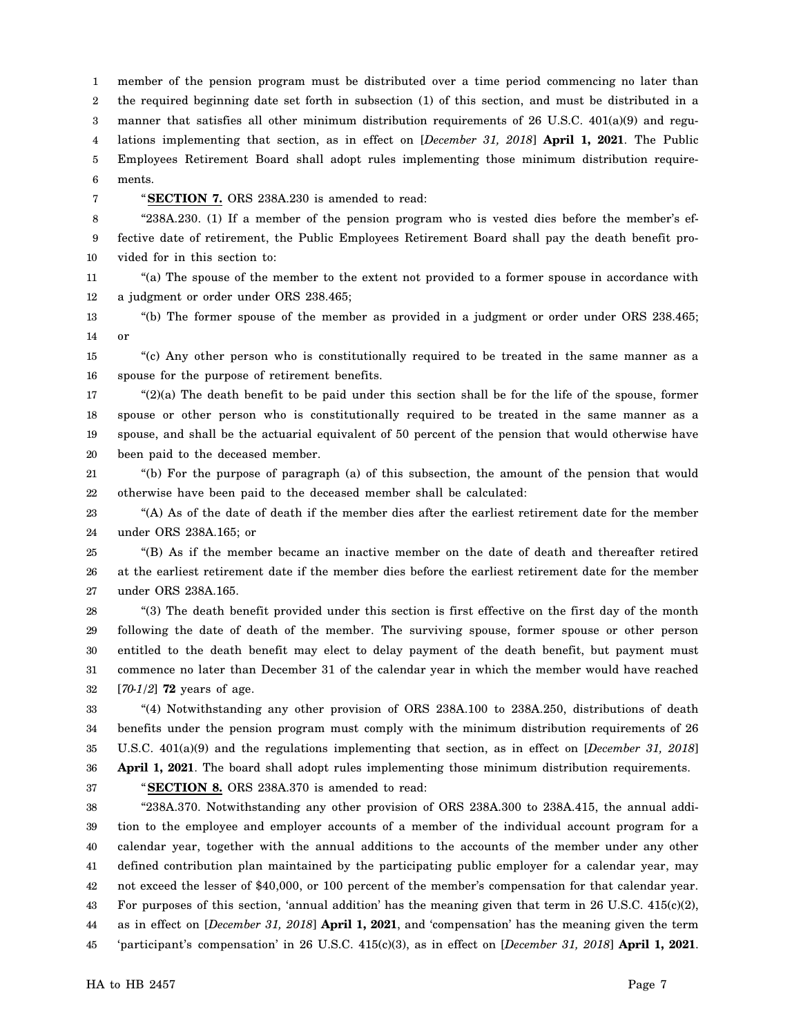1 2 3 4 5 6 member of the pension program must be distributed over a time period commencing no later than the required beginning date set forth in subsection (1) of this section, and must be distributed in a manner that satisfies all other minimum distribution requirements of 26 U.S.C. 401(a)(9) and regulations implementing that section, as in effect on [*December 31, 2018*] **April 1, 2021**. The Public Employees Retirement Board shall adopt rules implementing those minimum distribution requirements.

7

"**SECTION 7.** ORS 238A.230 is amended to read:

8 9 10 "238A.230. (1) If a member of the pension program who is vested dies before the member's effective date of retirement, the Public Employees Retirement Board shall pay the death benefit provided for in this section to:

11 12 "(a) The spouse of the member to the extent not provided to a former spouse in accordance with a judgment or order under ORS 238.465;

13 14 "(b) The former spouse of the member as provided in a judgment or order under ORS 238.465; or

15 16 "(c) Any other person who is constitutionally required to be treated in the same manner as a spouse for the purpose of retirement benefits.

17 18 19 20 "(2)(a) The death benefit to be paid under this section shall be for the life of the spouse, former spouse or other person who is constitutionally required to be treated in the same manner as a spouse, and shall be the actuarial equivalent of 50 percent of the pension that would otherwise have been paid to the deceased member.

21 22 "(b) For the purpose of paragraph (a) of this subsection, the amount of the pension that would otherwise have been paid to the deceased member shall be calculated:

23 24 "(A) As of the date of death if the member dies after the earliest retirement date for the member under ORS 238A.165; or

25 26 27 "(B) As if the member became an inactive member on the date of death and thereafter retired at the earliest retirement date if the member dies before the earliest retirement date for the member under ORS 238A.165.

28 29 30 31 32 "(3) The death benefit provided under this section is first effective on the first day of the month following the date of death of the member. The surviving spouse, former spouse or other person entitled to the death benefit may elect to delay payment of the death benefit, but payment must commence no later than December 31 of the calendar year in which the member would have reached [*70-1/2*] **72** years of age.

33 34 35 36 "(4) Notwithstanding any other provision of ORS 238A.100 to 238A.250, distributions of death benefits under the pension program must comply with the minimum distribution requirements of 26 U.S.C. 401(a)(9) and the regulations implementing that section, as in effect on [*December 31, 2018*] **April 1, 2021**. The board shall adopt rules implementing those minimum distribution requirements.

37

"**SECTION 8.** ORS 238A.370 is amended to read:

38 39 40 41 42 43 44 45 "238A.370. Notwithstanding any other provision of ORS 238A.300 to 238A.415, the annual addition to the employee and employer accounts of a member of the individual account program for a calendar year, together with the annual additions to the accounts of the member under any other defined contribution plan maintained by the participating public employer for a calendar year, may not exceed the lesser of \$40,000, or 100 percent of the member's compensation for that calendar year. For purposes of this section, 'annual addition' has the meaning given that term in 26 U.S.C. 415(c)(2), as in effect on [*December 31, 2018*] **April 1, 2021**, and 'compensation' has the meaning given the term 'participant's compensation' in 26 U.S.C. 415(c)(3), as in effect on [*December 31, 2018*] **April 1, 2021**.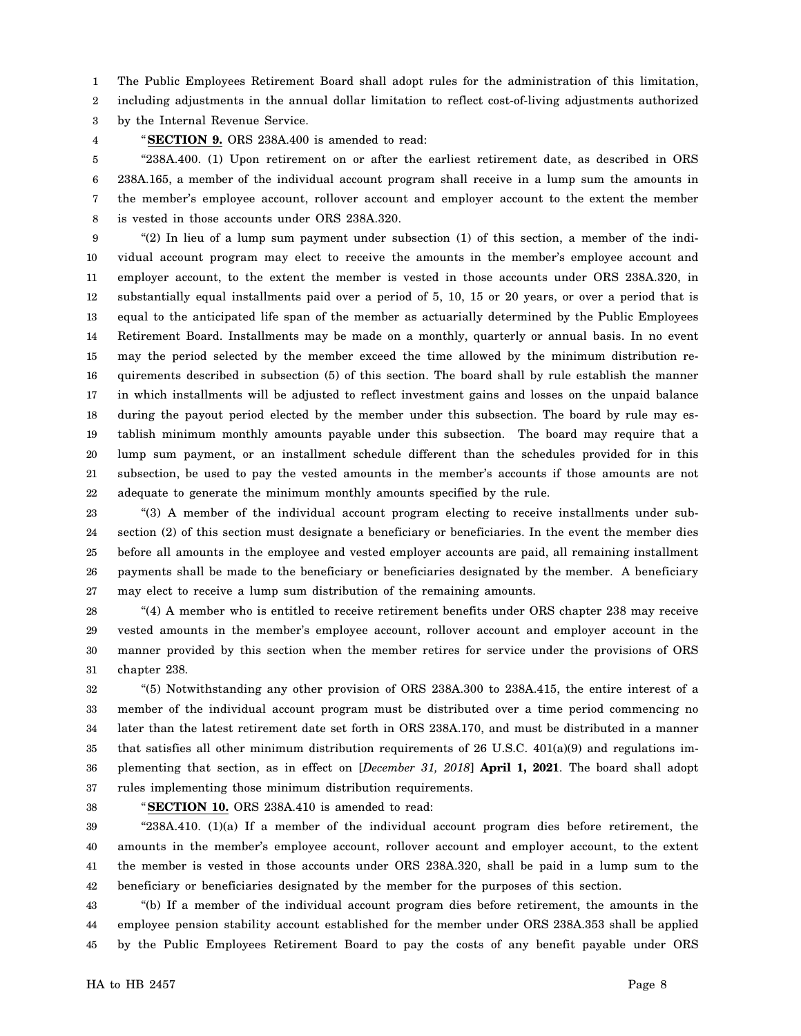1 The Public Employees Retirement Board shall adopt rules for the administration of this limitation,

2 including adjustments in the annual dollar limitation to reflect cost-of-living adjustments authorized

3 by the Internal Revenue Service.

4

"**SECTION 9.** ORS 238A.400 is amended to read:

5 6 7 8 "238A.400. (1) Upon retirement on or after the earliest retirement date, as described in ORS 238A.165, a member of the individual account program shall receive in a lump sum the amounts in the member's employee account, rollover account and employer account to the extent the member is vested in those accounts under ORS 238A.320.

9 10 11 12 13 14 15 16 17 18 19 20 21 22 "(2) In lieu of a lump sum payment under subsection (1) of this section, a member of the individual account program may elect to receive the amounts in the member's employee account and employer account, to the extent the member is vested in those accounts under ORS 238A.320, in substantially equal installments paid over a period of 5, 10, 15 or 20 years, or over a period that is equal to the anticipated life span of the member as actuarially determined by the Public Employees Retirement Board. Installments may be made on a monthly, quarterly or annual basis. In no event may the period selected by the member exceed the time allowed by the minimum distribution requirements described in subsection (5) of this section. The board shall by rule establish the manner in which installments will be adjusted to reflect investment gains and losses on the unpaid balance during the payout period elected by the member under this subsection. The board by rule may establish minimum monthly amounts payable under this subsection. The board may require that a lump sum payment, or an installment schedule different than the schedules provided for in this subsection, be used to pay the vested amounts in the member's accounts if those amounts are not adequate to generate the minimum monthly amounts specified by the rule.

23 24 25 26 27 "(3) A member of the individual account program electing to receive installments under subsection (2) of this section must designate a beneficiary or beneficiaries. In the event the member dies before all amounts in the employee and vested employer accounts are paid, all remaining installment payments shall be made to the beneficiary or beneficiaries designated by the member. A beneficiary may elect to receive a lump sum distribution of the remaining amounts.

28 29 30 31 "(4) A member who is entitled to receive retirement benefits under ORS chapter 238 may receive vested amounts in the member's employee account, rollover account and employer account in the manner provided by this section when the member retires for service under the provisions of ORS chapter 238.

32 33 34 35 36 37 "(5) Notwithstanding any other provision of ORS 238A.300 to 238A.415, the entire interest of a member of the individual account program must be distributed over a time period commencing no later than the latest retirement date set forth in ORS 238A.170, and must be distributed in a manner that satisfies all other minimum distribution requirements of 26 U.S.C.  $401(a)(9)$  and regulations implementing that section, as in effect on [*December 31, 2018*] **April 1, 2021**. The board shall adopt rules implementing those minimum distribution requirements.

38

"**SECTION 10.** ORS 238A.410 is amended to read:

39 40 41 42 "238A.410. (1)(a) If a member of the individual account program dies before retirement, the amounts in the member's employee account, rollover account and employer account, to the extent the member is vested in those accounts under ORS 238A.320, shall be paid in a lump sum to the beneficiary or beneficiaries designated by the member for the purposes of this section.

43 44 45 "(b) If a member of the individual account program dies before retirement, the amounts in the employee pension stability account established for the member under ORS 238A.353 shall be applied by the Public Employees Retirement Board to pay the costs of any benefit payable under ORS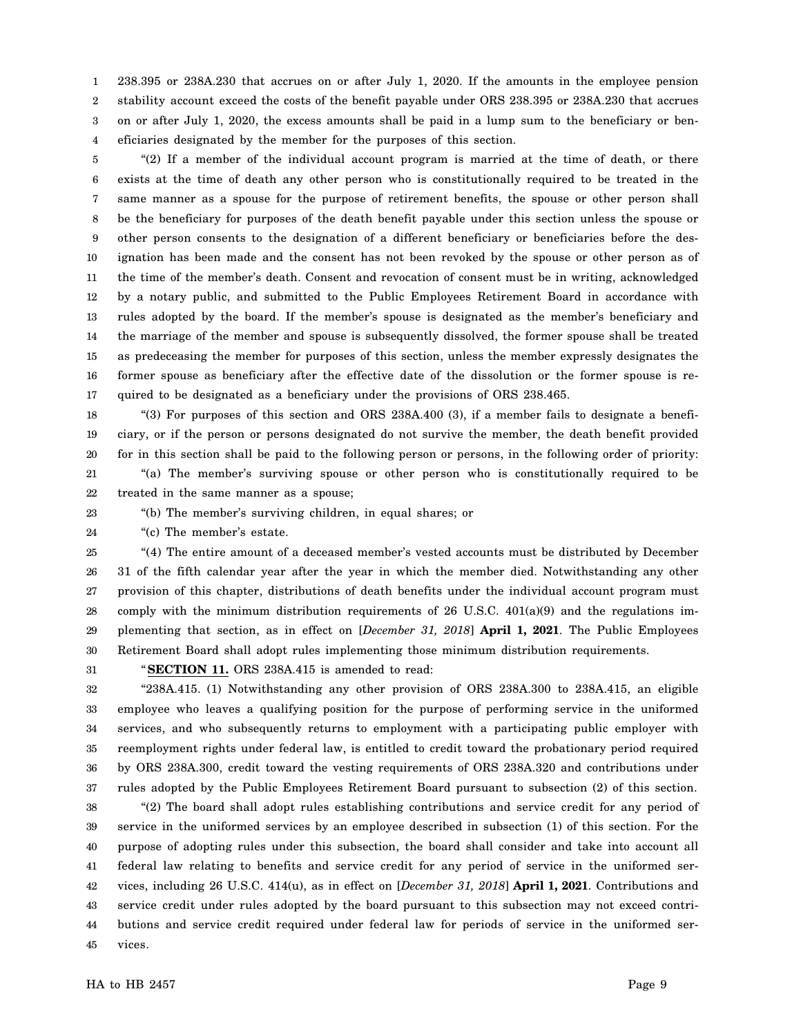1 2 3 4 238.395 or 238A.230 that accrues on or after July 1, 2020. If the amounts in the employee pension stability account exceed the costs of the benefit payable under ORS 238.395 or 238A.230 that accrues on or after July 1, 2020, the excess amounts shall be paid in a lump sum to the beneficiary or beneficiaries designated by the member for the purposes of this section.

5 6 7 8 9 10 11 12 13 14 15 16 17 "(2) If a member of the individual account program is married at the time of death, or there exists at the time of death any other person who is constitutionally required to be treated in the same manner as a spouse for the purpose of retirement benefits, the spouse or other person shall be the beneficiary for purposes of the death benefit payable under this section unless the spouse or other person consents to the designation of a different beneficiary or beneficiaries before the designation has been made and the consent has not been revoked by the spouse or other person as of the time of the member's death. Consent and revocation of consent must be in writing, acknowledged by a notary public, and submitted to the Public Employees Retirement Board in accordance with rules adopted by the board. If the member's spouse is designated as the member's beneficiary and the marriage of the member and spouse is subsequently dissolved, the former spouse shall be treated as predeceasing the member for purposes of this section, unless the member expressly designates the former spouse as beneficiary after the effective date of the dissolution or the former spouse is required to be designated as a beneficiary under the provisions of ORS 238.465.

18 19 20 21 22 "(3) For purposes of this section and ORS 238A.400 (3), if a member fails to designate a beneficiary, or if the person or persons designated do not survive the member, the death benefit provided for in this section shall be paid to the following person or persons, in the following order of priority: "(a) The member's surviving spouse or other person who is constitutionally required to be treated in the same manner as a spouse;

23

"(b) The member's surviving children, in equal shares; or

24 "(c) The member's estate.

25 26 27 28 29 30 "(4) The entire amount of a deceased member's vested accounts must be distributed by December 31 of the fifth calendar year after the year in which the member died. Notwithstanding any other provision of this chapter, distributions of death benefits under the individual account program must comply with the minimum distribution requirements of 26 U.S.C.  $401(a)(9)$  and the regulations implementing that section, as in effect on [*December 31, 2018*] **April 1, 2021**. The Public Employees Retirement Board shall adopt rules implementing those minimum distribution requirements.

31

"**SECTION 11.** ORS 238A.415 is amended to read:

32 33 34 35 36 37 "238A.415. (1) Notwithstanding any other provision of ORS 238A.300 to 238A.415, an eligible employee who leaves a qualifying position for the purpose of performing service in the uniformed services, and who subsequently returns to employment with a participating public employer with reemployment rights under federal law, is entitled to credit toward the probationary period required by ORS 238A.300, credit toward the vesting requirements of ORS 238A.320 and contributions under rules adopted by the Public Employees Retirement Board pursuant to subsection (2) of this section.

38 39 40 41 42 43 44 45 "(2) The board shall adopt rules establishing contributions and service credit for any period of service in the uniformed services by an employee described in subsection (1) of this section. For the purpose of adopting rules under this subsection, the board shall consider and take into account all federal law relating to benefits and service credit for any period of service in the uniformed services, including 26 U.S.C. 414(u), as in effect on [*December 31, 2018*] **April 1, 2021**. Contributions and service credit under rules adopted by the board pursuant to this subsection may not exceed contributions and service credit required under federal law for periods of service in the uniformed services.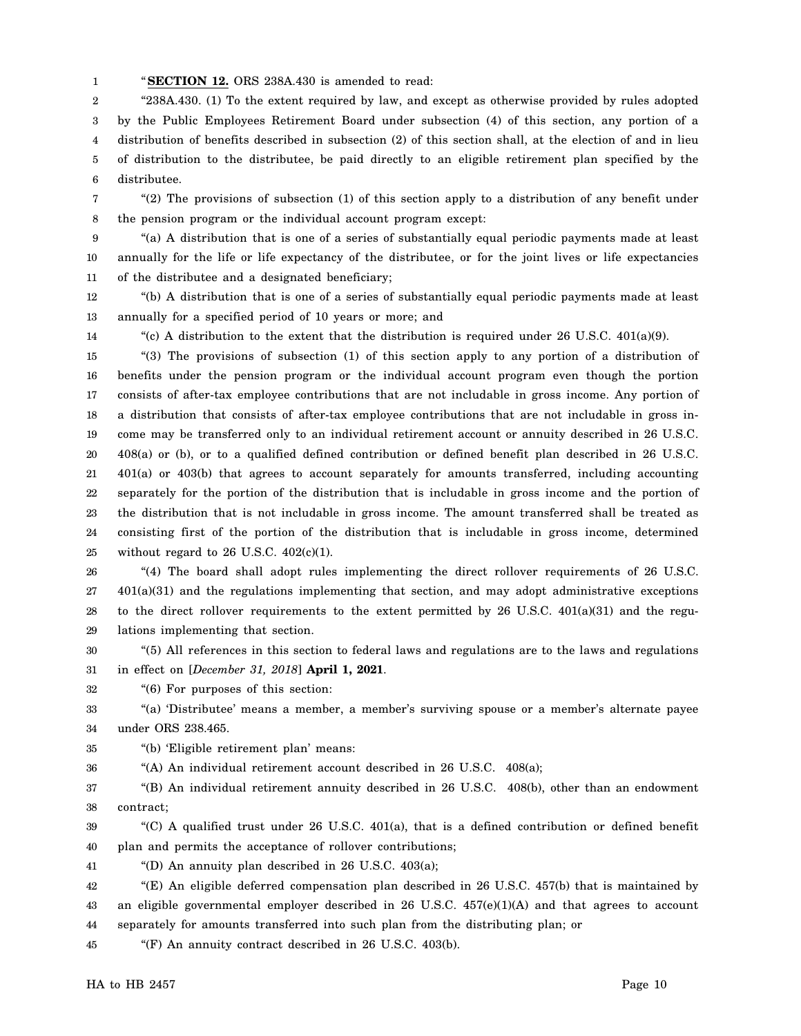1 "**SECTION 12.** ORS 238A.430 is amended to read:

2 3 4 5 6 "238A.430. (1) To the extent required by law, and except as otherwise provided by rules adopted by the Public Employees Retirement Board under subsection (4) of this section, any portion of a distribution of benefits described in subsection (2) of this section shall, at the election of and in lieu of distribution to the distributee, be paid directly to an eligible retirement plan specified by the distributee.

7 8 "(2) The provisions of subsection (1) of this section apply to a distribution of any benefit under the pension program or the individual account program except:

9 10 11 "(a) A distribution that is one of a series of substantially equal periodic payments made at least annually for the life or life expectancy of the distributee, or for the joint lives or life expectancies of the distributee and a designated beneficiary;

12 13 "(b) A distribution that is one of a series of substantially equal periodic payments made at least annually for a specified period of 10 years or more; and

14

"(c) A distribution to the extent that the distribution is required under 26 U.S.C.  $401(a)(9)$ .

15 16 17 18 19 20 21 22 23 24 25 "(3) The provisions of subsection (1) of this section apply to any portion of a distribution of benefits under the pension program or the individual account program even though the portion consists of after-tax employee contributions that are not includable in gross income. Any portion of a distribution that consists of after-tax employee contributions that are not includable in gross income may be transferred only to an individual retirement account or annuity described in 26 U.S.C. 408(a) or (b), or to a qualified defined contribution or defined benefit plan described in 26 U.S.C. 401(a) or 403(b) that agrees to account separately for amounts transferred, including accounting separately for the portion of the distribution that is includable in gross income and the portion of the distribution that is not includable in gross income. The amount transferred shall be treated as consisting first of the portion of the distribution that is includable in gross income, determined without regard to  $26$  U.S.C.  $402(c)(1)$ .

26 27 28 29 "(4) The board shall adopt rules implementing the direct rollover requirements of 26 U.S.C. 401(a)(31) and the regulations implementing that section, and may adopt administrative exceptions to the direct rollover requirements to the extent permitted by 26 U.S.C. 401(a)(31) and the regulations implementing that section.

30 31 "(5) All references in this section to federal laws and regulations are to the laws and regulations in effect on [*December 31, 2018*] **April 1, 2021**.

32 "(6) For purposes of this section:

33 34 "(a) 'Distributee' means a member, a member's surviving spouse or a member's alternate payee under ORS 238.465.

35 "(b) 'Eligible retirement plan' means:

36 "(A) An individual retirement account described in 26 U.S.C. 408(a);

37 38 "(B) An individual retirement annuity described in 26 U.S.C. 408(b), other than an endowment contract;

39 40 "(C) A qualified trust under 26 U.S.C. 401(a), that is a defined contribution or defined benefit plan and permits the acceptance of rollover contributions;

41 "(D) An annuity plan described in 26 U.S.C.  $403(a)$ ;

42 43 44 "(E) An eligible deferred compensation plan described in 26 U.S.C. 457(b) that is maintained by an eligible governmental employer described in  $26 \text{ U.S.C. } 457 \text{(e)}(1)(\text{A})$  and that agrees to account separately for amounts transferred into such plan from the distributing plan; or

45 "(F) An annuity contract described in 26 U.S.C. 403(b).

HA to HB 2457 Page 10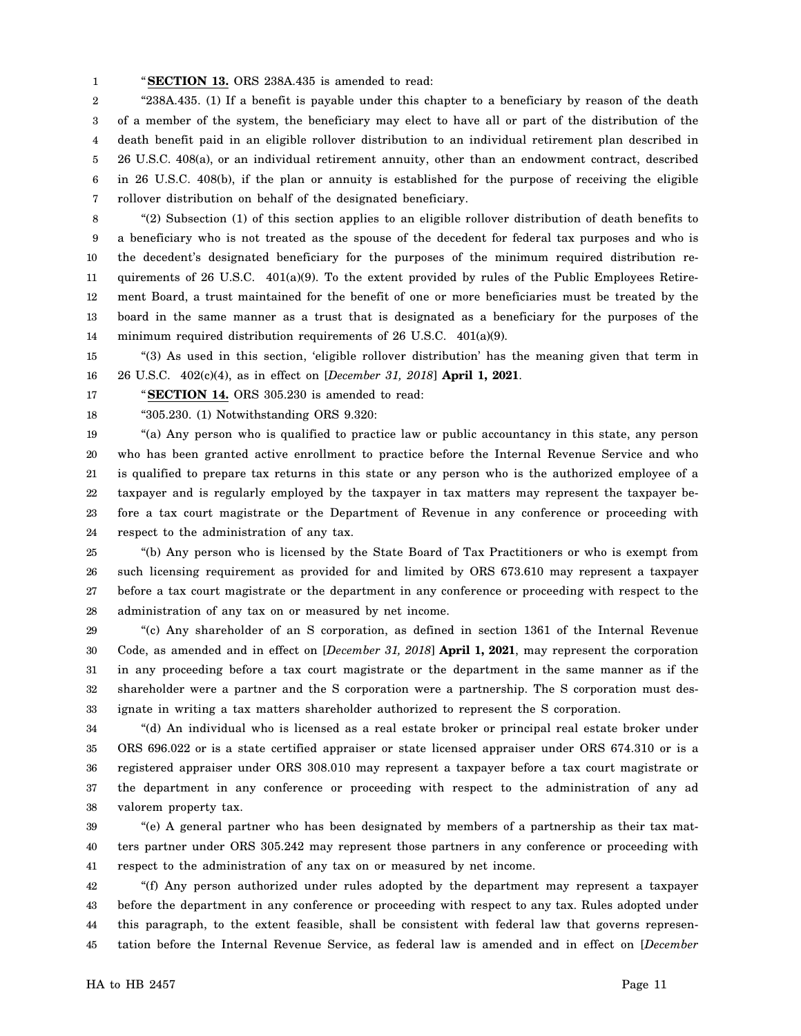1 "**SECTION 13.** ORS 238A.435 is amended to read:

2 3 4 5 6 7 "238A.435. (1) If a benefit is payable under this chapter to a beneficiary by reason of the death of a member of the system, the beneficiary may elect to have all or part of the distribution of the death benefit paid in an eligible rollover distribution to an individual retirement plan described in 26 U.S.C. 408(a), or an individual retirement annuity, other than an endowment contract, described in 26 U.S.C. 408(b), if the plan or annuity is established for the purpose of receiving the eligible rollover distribution on behalf of the designated beneficiary.

8 9 10 11 12 13 14 "(2) Subsection (1) of this section applies to an eligible rollover distribution of death benefits to a beneficiary who is not treated as the spouse of the decedent for federal tax purposes and who is the decedent's designated beneficiary for the purposes of the minimum required distribution requirements of 26 U.S.C. 401(a)(9). To the extent provided by rules of the Public Employees Retirement Board, a trust maintained for the benefit of one or more beneficiaries must be treated by the board in the same manner as a trust that is designated as a beneficiary for the purposes of the minimum required distribution requirements of 26 U.S.C. 401(a)(9).

15 16 "(3) As used in this section, 'eligible rollover distribution' has the meaning given that term in 26 U.S.C. 402(c)(4), as in effect on [*December 31, 2018*] **April 1, 2021**.

"**SECTION 14.** ORS 305.230 is amended to read:

18 "305.230. (1) Notwithstanding ORS 9.320:

17

19 20 21 22 23 24 "(a) Any person who is qualified to practice law or public accountancy in this state, any person who has been granted active enrollment to practice before the Internal Revenue Service and who is qualified to prepare tax returns in this state or any person who is the authorized employee of a taxpayer and is regularly employed by the taxpayer in tax matters may represent the taxpayer before a tax court magistrate or the Department of Revenue in any conference or proceeding with respect to the administration of any tax.

25 26 27 28 "(b) Any person who is licensed by the State Board of Tax Practitioners or who is exempt from such licensing requirement as provided for and limited by ORS 673.610 may represent a taxpayer before a tax court magistrate or the department in any conference or proceeding with respect to the administration of any tax on or measured by net income.

29 30 31 32 33 "(c) Any shareholder of an S corporation, as defined in section 1361 of the Internal Revenue Code, as amended and in effect on [*December 31, 2018*] **April 1, 2021**, may represent the corporation in any proceeding before a tax court magistrate or the department in the same manner as if the shareholder were a partner and the S corporation were a partnership. The S corporation must designate in writing a tax matters shareholder authorized to represent the S corporation.

34 35 36 37 38 "(d) An individual who is licensed as a real estate broker or principal real estate broker under ORS 696.022 or is a state certified appraiser or state licensed appraiser under ORS 674.310 or is a registered appraiser under ORS 308.010 may represent a taxpayer before a tax court magistrate or the department in any conference or proceeding with respect to the administration of any ad valorem property tax.

39 40 41 "(e) A general partner who has been designated by members of a partnership as their tax matters partner under ORS 305.242 may represent those partners in any conference or proceeding with respect to the administration of any tax on or measured by net income.

42 43 44 45 "(f) Any person authorized under rules adopted by the department may represent a taxpayer before the department in any conference or proceeding with respect to any tax. Rules adopted under this paragraph, to the extent feasible, shall be consistent with federal law that governs representation before the Internal Revenue Service, as federal law is amended and in effect on [*December*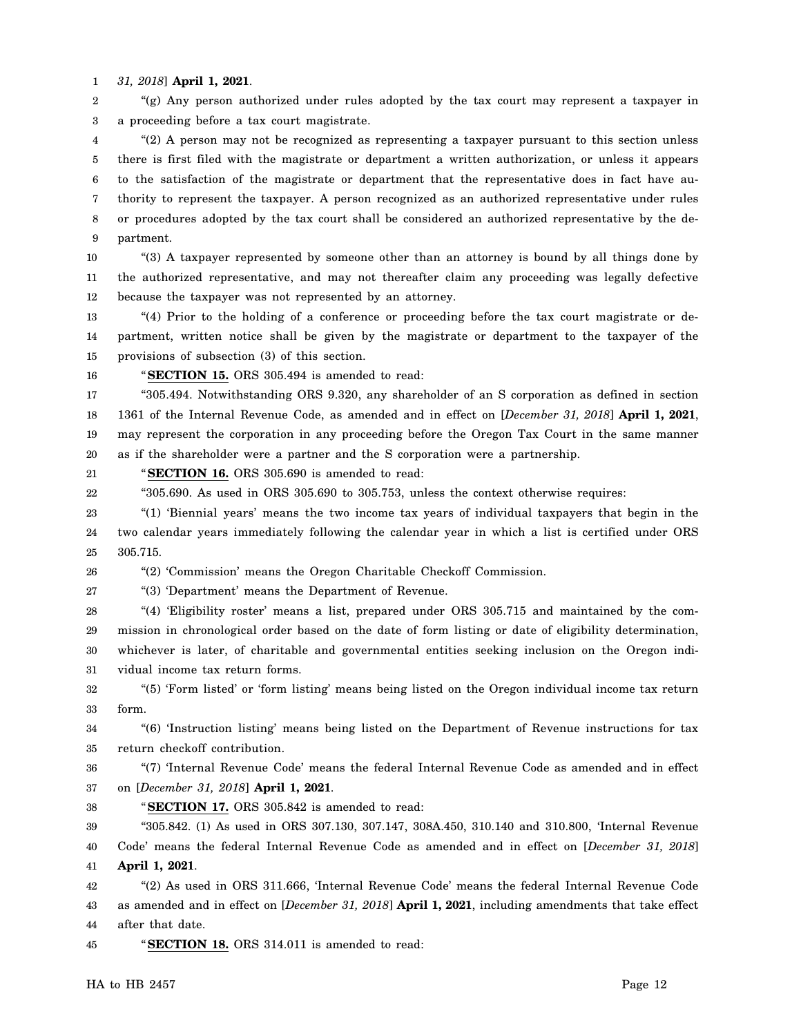1 *31, 2018*] **April 1, 2021**.

2 3 "(g) Any person authorized under rules adopted by the tax court may represent a taxpayer in a proceeding before a tax court magistrate.

4 5 6 7 8 9 "(2) A person may not be recognized as representing a taxpayer pursuant to this section unless there is first filed with the magistrate or department a written authorization, or unless it appears to the satisfaction of the magistrate or department that the representative does in fact have authority to represent the taxpayer. A person recognized as an authorized representative under rules or procedures adopted by the tax court shall be considered an authorized representative by the department.

10 11 12 "(3) A taxpayer represented by someone other than an attorney is bound by all things done by the authorized representative, and may not thereafter claim any proceeding was legally defective because the taxpayer was not represented by an attorney.

13 14 15 "(4) Prior to the holding of a conference or proceeding before the tax court magistrate or department, written notice shall be given by the magistrate or department to the taxpayer of the provisions of subsection (3) of this section.

16

"**SECTION 15.** ORS 305.494 is amended to read:

17 18 19 20 "305.494. Notwithstanding ORS 9.320, any shareholder of an S corporation as defined in section 1361 of the Internal Revenue Code, as amended and in effect on [*December 31, 2018*] **April 1, 2021**, may represent the corporation in any proceeding before the Oregon Tax Court in the same manner as if the shareholder were a partner and the S corporation were a partnership.

21 "**SECTION 16.** ORS 305.690 is amended to read:

22 "305.690. As used in ORS 305.690 to 305.753, unless the context otherwise requires:

23 24 25 "(1) 'Biennial years' means the two income tax years of individual taxpayers that begin in the two calendar years immediately following the calendar year in which a list is certified under ORS 305.715.

26 "(2) 'Commission' means the Oregon Charitable Checkoff Commission.

27 "(3) 'Department' means the Department of Revenue.

28 29 30 31 "(4) 'Eligibility roster' means a list, prepared under ORS 305.715 and maintained by the commission in chronological order based on the date of form listing or date of eligibility determination, whichever is later, of charitable and governmental entities seeking inclusion on the Oregon individual income tax return forms.

32 33 "(5) 'Form listed' or 'form listing' means being listed on the Oregon individual income tax return form.

34 35 "(6) 'Instruction listing' means being listed on the Department of Revenue instructions for tax return checkoff contribution.

36 37 "(7) 'Internal Revenue Code' means the federal Internal Revenue Code as amended and in effect on [*December 31, 2018*] **April 1, 2021**.

38 "**SECTION 17.** ORS 305.842 is amended to read:

39 40 41 "305.842. (1) As used in ORS 307.130, 307.147, 308A.450, 310.140 and 310.800, 'Internal Revenue Code' means the federal Internal Revenue Code as amended and in effect on [*December 31, 2018*] **April 1, 2021**.

42 43 44 "(2) As used in ORS 311.666, 'Internal Revenue Code' means the federal Internal Revenue Code as amended and in effect on [*December 31, 2018*] **April 1, 2021**, including amendments that take effect after that date.

45 "**SECTION 18.** ORS 314.011 is amended to read: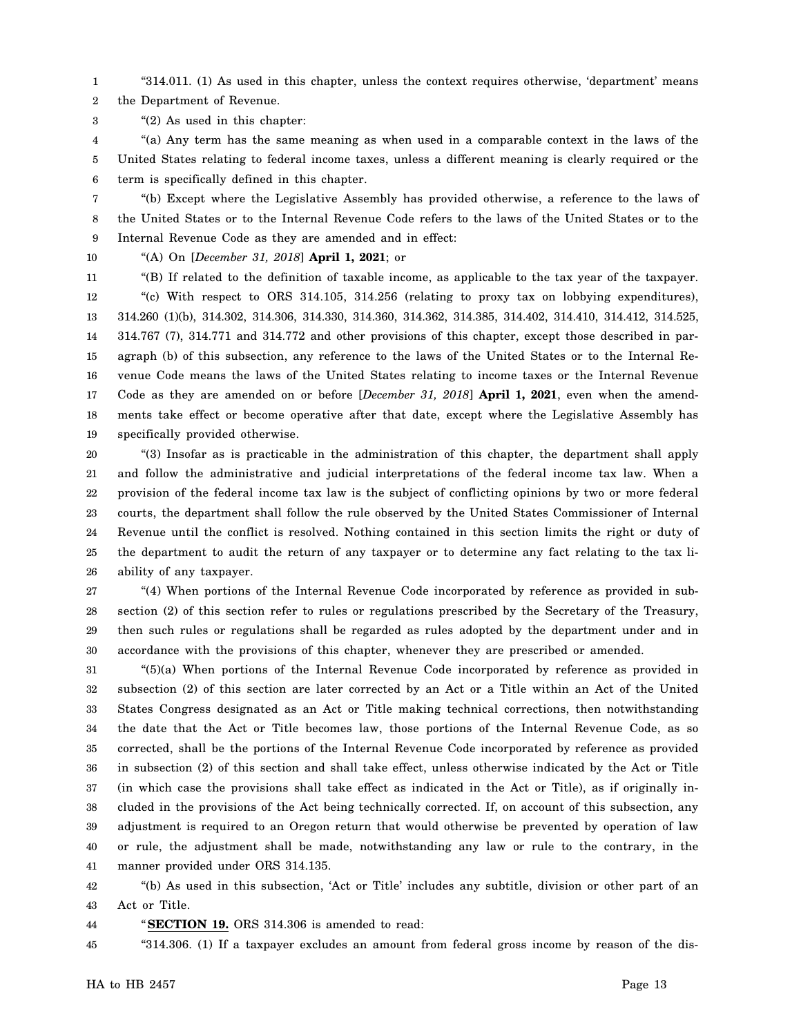1 "314.011. (1) As used in this chapter, unless the context requires otherwise, 'department' means

2 the Department of Revenue.

3 "(2) As used in this chapter:

4 5 6 "(a) Any term has the same meaning as when used in a comparable context in the laws of the United States relating to federal income taxes, unless a different meaning is clearly required or the term is specifically defined in this chapter.

7 8 9 "(b) Except where the Legislative Assembly has provided otherwise, a reference to the laws of the United States or to the Internal Revenue Code refers to the laws of the United States or to the Internal Revenue Code as they are amended and in effect:

10

"(A) On [*December 31, 2018*] **April 1, 2021**; or

11

12 13 14 15 16 17 18 19 "(B) If related to the definition of taxable income, as applicable to the tax year of the taxpayer. "(c) With respect to ORS 314.105, 314.256 (relating to proxy tax on lobbying expenditures), 314.260 (1)(b), 314.302, 314.306, 314.330, 314.360, 314.362, 314.385, 314.402, 314.410, 314.412, 314.525, 314.767 (7), 314.771 and 314.772 and other provisions of this chapter, except those described in paragraph (b) of this subsection, any reference to the laws of the United States or to the Internal Revenue Code means the laws of the United States relating to income taxes or the Internal Revenue Code as they are amended on or before [*December 31, 2018*] **April 1, 2021**, even when the amendments take effect or become operative after that date, except where the Legislative Assembly has specifically provided otherwise.

20 21 22 23 24 25 26 "(3) Insofar as is practicable in the administration of this chapter, the department shall apply and follow the administrative and judicial interpretations of the federal income tax law. When a provision of the federal income tax law is the subject of conflicting opinions by two or more federal courts, the department shall follow the rule observed by the United States Commissioner of Internal Revenue until the conflict is resolved. Nothing contained in this section limits the right or duty of the department to audit the return of any taxpayer or to determine any fact relating to the tax liability of any taxpayer.

27 28 29 30 "(4) When portions of the Internal Revenue Code incorporated by reference as provided in subsection (2) of this section refer to rules or regulations prescribed by the Secretary of the Treasury, then such rules or regulations shall be regarded as rules adopted by the department under and in accordance with the provisions of this chapter, whenever they are prescribed or amended.

31 32 33 34 35 36 37 38 39 40 41 "(5)(a) When portions of the Internal Revenue Code incorporated by reference as provided in subsection (2) of this section are later corrected by an Act or a Title within an Act of the United States Congress designated as an Act or Title making technical corrections, then notwithstanding the date that the Act or Title becomes law, those portions of the Internal Revenue Code, as so corrected, shall be the portions of the Internal Revenue Code incorporated by reference as provided in subsection (2) of this section and shall take effect, unless otherwise indicated by the Act or Title (in which case the provisions shall take effect as indicated in the Act or Title), as if originally included in the provisions of the Act being technically corrected. If, on account of this subsection, any adjustment is required to an Oregon return that would otherwise be prevented by operation of law or rule, the adjustment shall be made, notwithstanding any law or rule to the contrary, in the manner provided under ORS 314.135.

42 43 "(b) As used in this subsection, 'Act or Title' includes any subtitle, division or other part of an Act or Title.

44 "**SECTION 19.** ORS 314.306 is amended to read:

45 "314.306. (1) If a taxpayer excludes an amount from federal gross income by reason of the dis-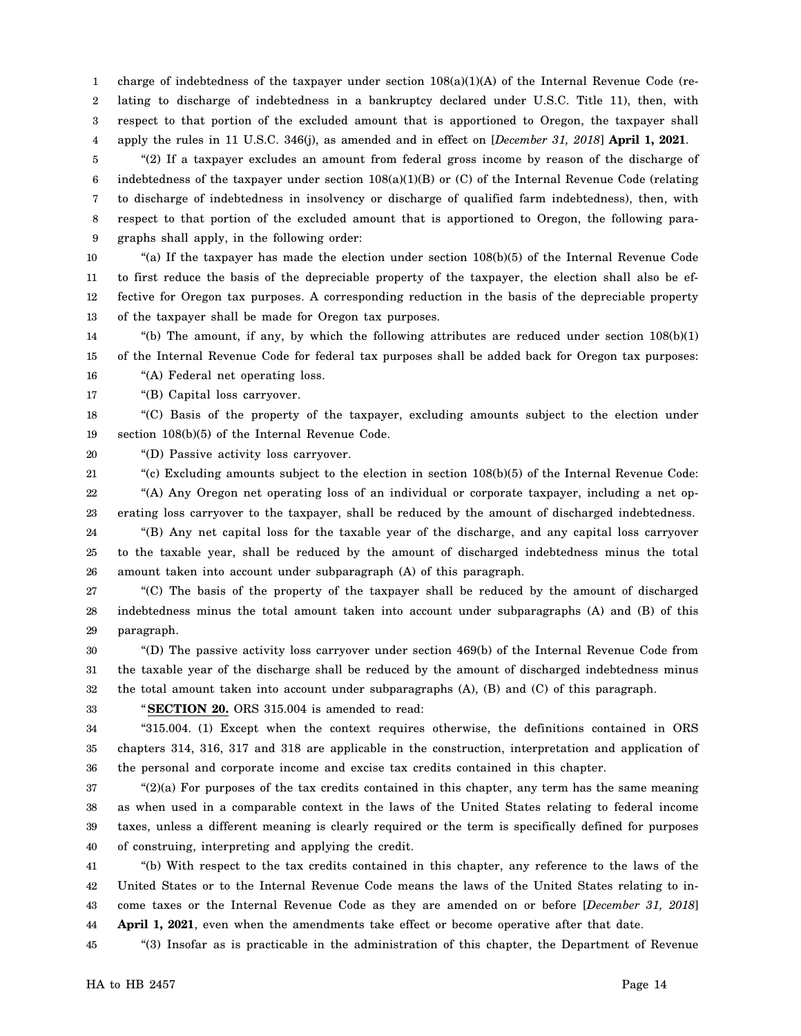1 2 3 4 charge of indebtedness of the taxpayer under section  $108(a)(1)(A)$  of the Internal Revenue Code (relating to discharge of indebtedness in a bankruptcy declared under U.S.C. Title 11), then, with respect to that portion of the excluded amount that is apportioned to Oregon, the taxpayer shall apply the rules in 11 U.S.C. 346(j), as amended and in effect on [*December 31, 2018*] **April 1, 2021**.

5 6 7 8 9 "(2) If a taxpayer excludes an amount from federal gross income by reason of the discharge of indebtedness of the taxpayer under section 108(a)(1)(B) or (C) of the Internal Revenue Code (relating to discharge of indebtedness in insolvency or discharge of qualified farm indebtedness), then, with respect to that portion of the excluded amount that is apportioned to Oregon, the following paragraphs shall apply, in the following order:

10 11 12 13 "(a) If the taxpayer has made the election under section 108(b)(5) of the Internal Revenue Code to first reduce the basis of the depreciable property of the taxpayer, the election shall also be effective for Oregon tax purposes. A corresponding reduction in the basis of the depreciable property of the taxpayer shall be made for Oregon tax purposes.

14 15 "(b) The amount, if any, by which the following attributes are reduced under section  $108(b)(1)$ of the Internal Revenue Code for federal tax purposes shall be added back for Oregon tax purposes:

16 "(A) Federal net operating loss.

17 "(B) Capital loss carryover.

18 19 "(C) Basis of the property of the taxpayer, excluding amounts subject to the election under section 108(b)(5) of the Internal Revenue Code.

20 "(D) Passive activity loss carryover.

21 22 "(c) Excluding amounts subject to the election in section 108(b)(5) of the Internal Revenue Code: "(A) Any Oregon net operating loss of an individual or corporate taxpayer, including a net op-

23 24 25 26 erating loss carryover to the taxpayer, shall be reduced by the amount of discharged indebtedness. "(B) Any net capital loss for the taxable year of the discharge, and any capital loss carryover to the taxable year, shall be reduced by the amount of discharged indebtedness minus the total amount taken into account under subparagraph (A) of this paragraph.

27 28 29 "(C) The basis of the property of the taxpayer shall be reduced by the amount of discharged indebtedness minus the total amount taken into account under subparagraphs (A) and (B) of this paragraph.

30 31 32 "(D) The passive activity loss carryover under section 469(b) of the Internal Revenue Code from the taxable year of the discharge shall be reduced by the amount of discharged indebtedness minus the total amount taken into account under subparagraphs (A), (B) and (C) of this paragraph.

"**SECTION 20.** ORS 315.004 is amended to read:

34 35 36 "315.004. (1) Except when the context requires otherwise, the definitions contained in ORS chapters 314, 316, 317 and 318 are applicable in the construction, interpretation and application of the personal and corporate income and excise tax credits contained in this chapter.

37 38 39 40 " $(2)(a)$  For purposes of the tax credits contained in this chapter, any term has the same meaning as when used in a comparable context in the laws of the United States relating to federal income taxes, unless a different meaning is clearly required or the term is specifically defined for purposes of construing, interpreting and applying the credit.

41 42 43 44 "(b) With respect to the tax credits contained in this chapter, any reference to the laws of the United States or to the Internal Revenue Code means the laws of the United States relating to income taxes or the Internal Revenue Code as they are amended on or before [*December 31, 2018*] **April 1, 2021**, even when the amendments take effect or become operative after that date.

45 "(3) Insofar as is practicable in the administration of this chapter, the Department of Revenue

33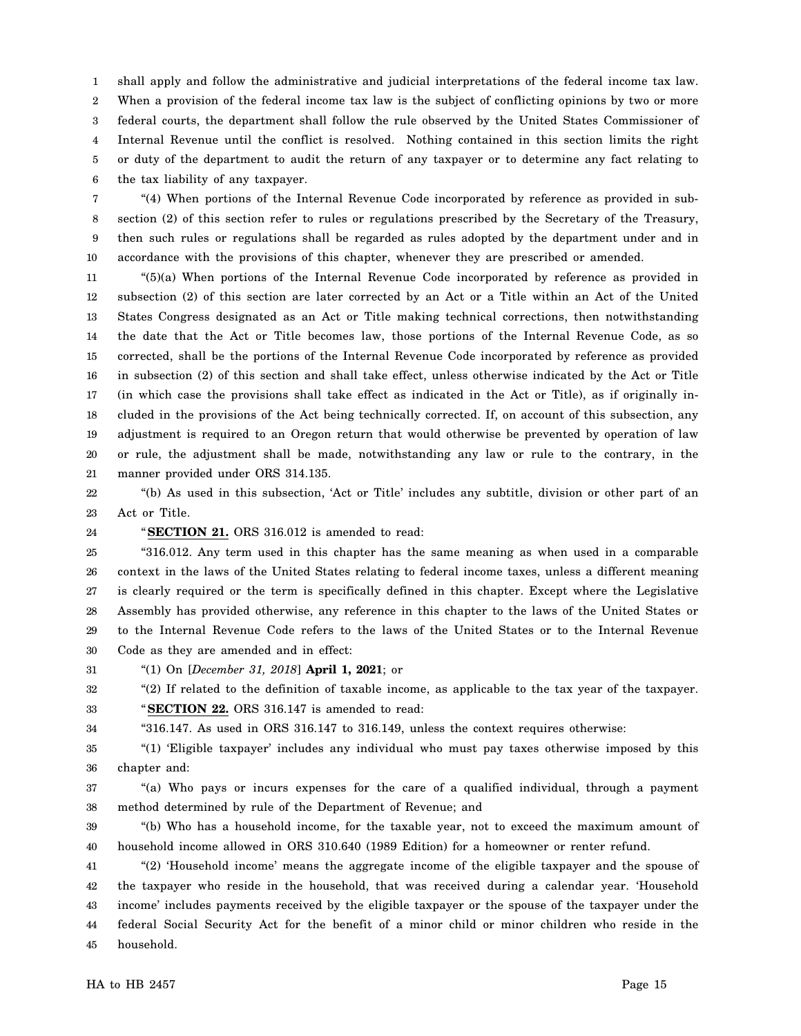1 2 3 4 5 6 shall apply and follow the administrative and judicial interpretations of the federal income tax law. When a provision of the federal income tax law is the subject of conflicting opinions by two or more federal courts, the department shall follow the rule observed by the United States Commissioner of Internal Revenue until the conflict is resolved. Nothing contained in this section limits the right or duty of the department to audit the return of any taxpayer or to determine any fact relating to the tax liability of any taxpayer.

7 8 9 10 "(4) When portions of the Internal Revenue Code incorporated by reference as provided in subsection (2) of this section refer to rules or regulations prescribed by the Secretary of the Treasury, then such rules or regulations shall be regarded as rules adopted by the department under and in accordance with the provisions of this chapter, whenever they are prescribed or amended.

11 12 13 14 15 16 17 18 19 20 21 "(5)(a) When portions of the Internal Revenue Code incorporated by reference as provided in subsection (2) of this section are later corrected by an Act or a Title within an Act of the United States Congress designated as an Act or Title making technical corrections, then notwithstanding the date that the Act or Title becomes law, those portions of the Internal Revenue Code, as so corrected, shall be the portions of the Internal Revenue Code incorporated by reference as provided in subsection (2) of this section and shall take effect, unless otherwise indicated by the Act or Title (in which case the provisions shall take effect as indicated in the Act or Title), as if originally included in the provisions of the Act being technically corrected. If, on account of this subsection, any adjustment is required to an Oregon return that would otherwise be prevented by operation of law or rule, the adjustment shall be made, notwithstanding any law or rule to the contrary, in the manner provided under ORS 314.135.

22 23 "(b) As used in this subsection, 'Act or Title' includes any subtitle, division or other part of an Act or Title.

24

34

"**SECTION 21.** ORS 316.012 is amended to read:

25 26 27 28 29 30 "316.012. Any term used in this chapter has the same meaning as when used in a comparable context in the laws of the United States relating to federal income taxes, unless a different meaning is clearly required or the term is specifically defined in this chapter. Except where the Legislative Assembly has provided otherwise, any reference in this chapter to the laws of the United States or to the Internal Revenue Code refers to the laws of the United States or to the Internal Revenue Code as they are amended and in effect:

31 "(1) On [*December 31, 2018*] **April 1, 2021**; or

32 "(2) If related to the definition of taxable income, as applicable to the tax year of the taxpayer.

33 "**SECTION 22.** ORS 316.147 is amended to read:

"316.147. As used in ORS 316.147 to 316.149, unless the context requires otherwise:

35 36 "(1) 'Eligible taxpayer' includes any individual who must pay taxes otherwise imposed by this chapter and:

37 38 "(a) Who pays or incurs expenses for the care of a qualified individual, through a payment method determined by rule of the Department of Revenue; and

39 40 "(b) Who has a household income, for the taxable year, not to exceed the maximum amount of household income allowed in ORS 310.640 (1989 Edition) for a homeowner or renter refund.

41 42 43 44 45 "(2) 'Household income' means the aggregate income of the eligible taxpayer and the spouse of the taxpayer who reside in the household, that was received during a calendar year. 'Household income' includes payments received by the eligible taxpayer or the spouse of the taxpayer under the federal Social Security Act for the benefit of a minor child or minor children who reside in the household.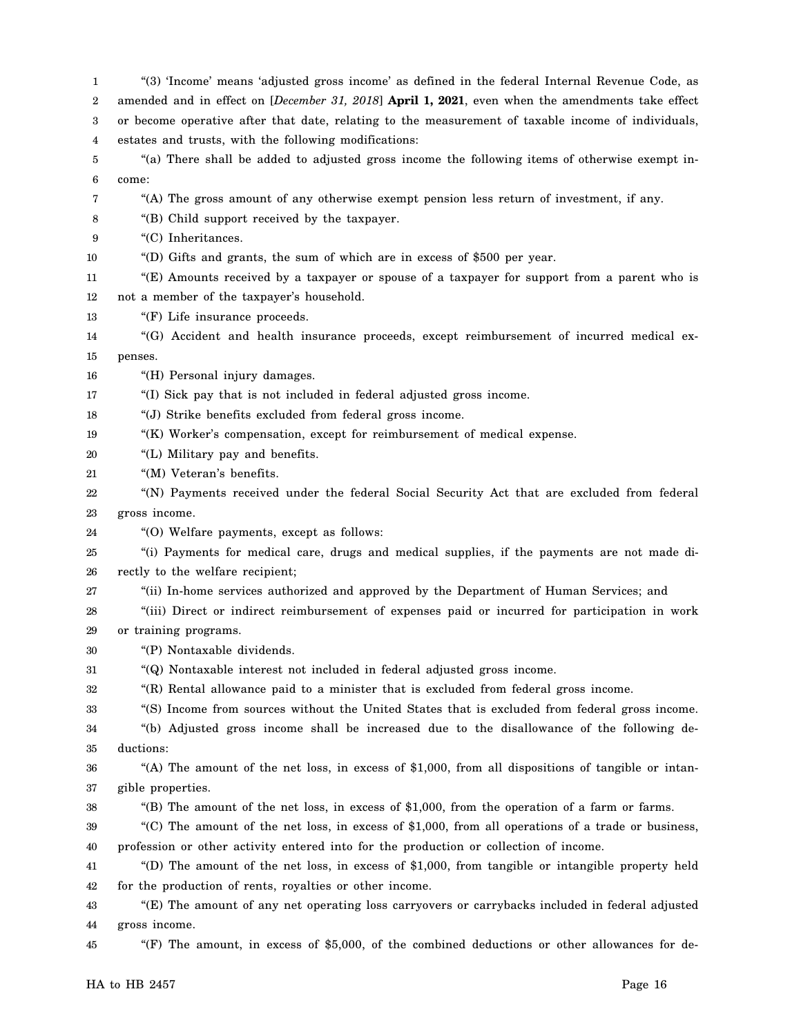1 2 3 4 5 6 7 8 9 10 11 12 13 14 15 16 17 18 19 20 21 22 23 24 25 26 27 28 29 30 31 32 33 34 35 36 37 38 39 40 41 42 43 44 45 "(3) 'Income' means 'adjusted gross income' as defined in the federal Internal Revenue Code, as amended and in effect on [*December 31, 2018*] **April 1, 2021**, even when the amendments take effect or become operative after that date, relating to the measurement of taxable income of individuals, estates and trusts, with the following modifications: "(a) There shall be added to adjusted gross income the following items of otherwise exempt income: "(A) The gross amount of any otherwise exempt pension less return of investment, if any. "(B) Child support received by the taxpayer. "(C) Inheritances. "(D) Gifts and grants, the sum of which are in excess of \$500 per year. "(E) Amounts received by a taxpayer or spouse of a taxpayer for support from a parent who is not a member of the taxpayer's household. "(F) Life insurance proceeds. "(G) Accident and health insurance proceeds, except reimbursement of incurred medical expenses. "(H) Personal injury damages. "(I) Sick pay that is not included in federal adjusted gross income. "(J) Strike benefits excluded from federal gross income. "(K) Worker's compensation, except for reimbursement of medical expense. "(L) Military pay and benefits. "(M) Veteran's benefits. "(N) Payments received under the federal Social Security Act that are excluded from federal gross income. "(O) Welfare payments, except as follows: "(i) Payments for medical care, drugs and medical supplies, if the payments are not made directly to the welfare recipient; "(ii) In-home services authorized and approved by the Department of Human Services; and "(iii) Direct or indirect reimbursement of expenses paid or incurred for participation in work or training programs. "(P) Nontaxable dividends. "(Q) Nontaxable interest not included in federal adjusted gross income. "(R) Rental allowance paid to a minister that is excluded from federal gross income. "(S) Income from sources without the United States that is excluded from federal gross income. "(b) Adjusted gross income shall be increased due to the disallowance of the following deductions: "(A) The amount of the net loss, in excess of \$1,000, from all dispositions of tangible or intangible properties. "(B) The amount of the net loss, in excess of \$1,000, from the operation of a farm or farms. "(C) The amount of the net loss, in excess of \$1,000, from all operations of a trade or business, profession or other activity entered into for the production or collection of income. "(D) The amount of the net loss, in excess of \$1,000, from tangible or intangible property held for the production of rents, royalties or other income. "(E) The amount of any net operating loss carryovers or carrybacks included in federal adjusted gross income. "(F) The amount, in excess of \$5,000, of the combined deductions or other allowances for de-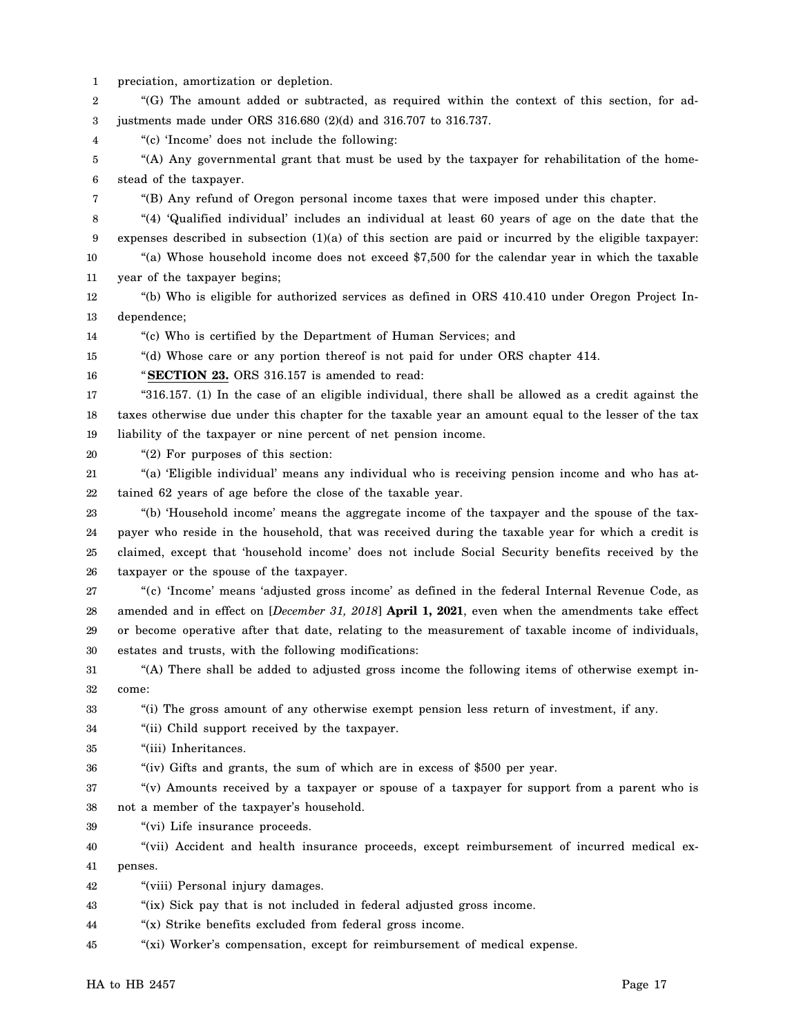1 2 3 4 5 6 7 8 9 10 11 12 13 14 15 16 17 18 19 20 21 22 23 24 25 26 27 28 29 30 31 32 33 34 35 36 37 38 39 40 41 42 43 44 45 preciation, amortization or depletion. "(G) The amount added or subtracted, as required within the context of this section, for adjustments made under ORS 316.680 (2)(d) and 316.707 to 316.737. "(c) 'Income' does not include the following: "(A) Any governmental grant that must be used by the taxpayer for rehabilitation of the homestead of the taxpayer. "(B) Any refund of Oregon personal income taxes that were imposed under this chapter. "(4) 'Qualified individual' includes an individual at least 60 years of age on the date that the expenses described in subsection (1)(a) of this section are paid or incurred by the eligible taxpayer: "(a) Whose household income does not exceed \$7,500 for the calendar year in which the taxable year of the taxpayer begins; "(b) Who is eligible for authorized services as defined in ORS 410.410 under Oregon Project Independence; "(c) Who is certified by the Department of Human Services; and "(d) Whose care or any portion thereof is not paid for under ORS chapter 414. "**SECTION 23.** ORS 316.157 is amended to read: "316.157. (1) In the case of an eligible individual, there shall be allowed as a credit against the taxes otherwise due under this chapter for the taxable year an amount equal to the lesser of the tax liability of the taxpayer or nine percent of net pension income. "(2) For purposes of this section: "(a) 'Eligible individual' means any individual who is receiving pension income and who has attained 62 years of age before the close of the taxable year. "(b) 'Household income' means the aggregate income of the taxpayer and the spouse of the taxpayer who reside in the household, that was received during the taxable year for which a credit is claimed, except that 'household income' does not include Social Security benefits received by the taxpayer or the spouse of the taxpayer. "(c) 'Income' means 'adjusted gross income' as defined in the federal Internal Revenue Code, as amended and in effect on [*December 31, 2018*] **April 1, 2021**, even when the amendments take effect or become operative after that date, relating to the measurement of taxable income of individuals, estates and trusts, with the following modifications: "(A) There shall be added to adjusted gross income the following items of otherwise exempt income: "(i) The gross amount of any otherwise exempt pension less return of investment, if any. "(ii) Child support received by the taxpayer. "(iii) Inheritances. "(iv) Gifts and grants, the sum of which are in excess of \$500 per year. "(v) Amounts received by a taxpayer or spouse of a taxpayer for support from a parent who is not a member of the taxpayer's household. "(vi) Life insurance proceeds. "(vii) Accident and health insurance proceeds, except reimbursement of incurred medical expenses. "(viii) Personal injury damages. "(ix) Sick pay that is not included in federal adjusted gross income. "(x) Strike benefits excluded from federal gross income. "(xi) Worker's compensation, except for reimbursement of medical expense.

HA to HB 2457 Page 17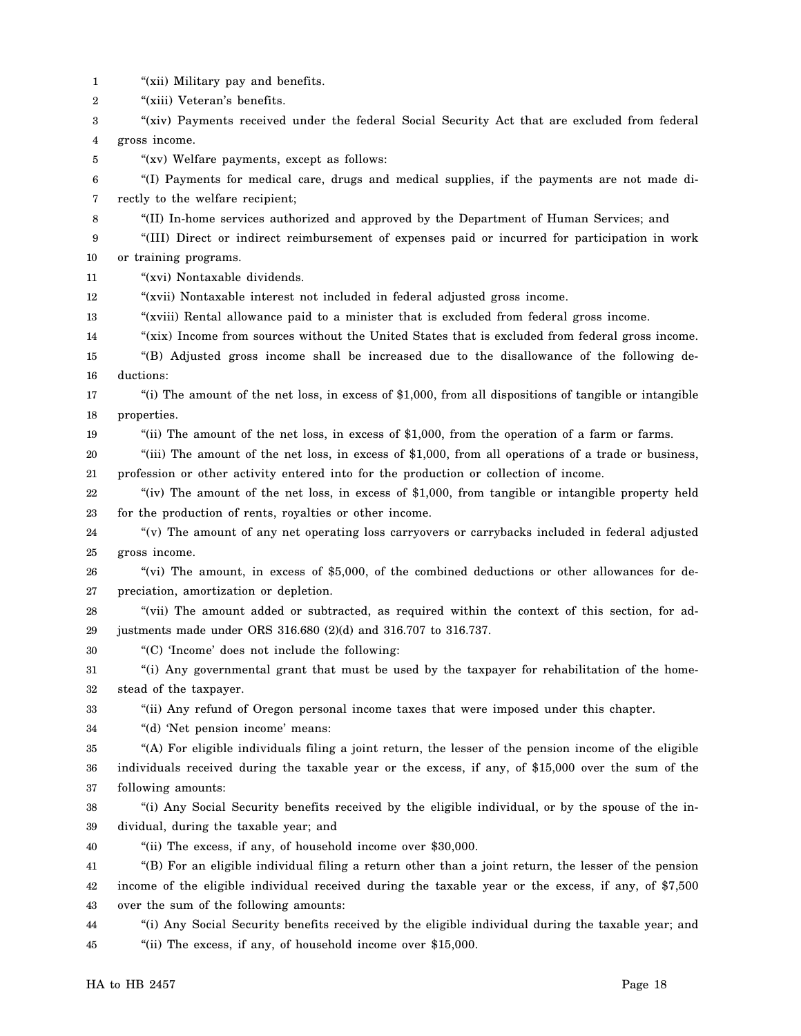1 "(xii) Military pay and benefits.

2 "(xiii) Veteran's benefits.

3 4 "(xiv) Payments received under the federal Social Security Act that are excluded from federal gross income.

5 "(xv) Welfare payments, except as follows:

6 7 "(I) Payments for medical care, drugs and medical supplies, if the payments are not made directly to the welfare recipient;

8 "(II) In-home services authorized and approved by the Department of Human Services; and

9 10 "(III) Direct or indirect reimbursement of expenses paid or incurred for participation in work or training programs.

11 "(xvi) Nontaxable dividends.

12 "(xvii) Nontaxable interest not included in federal adjusted gross income.

13 "(xviii) Rental allowance paid to a minister that is excluded from federal gross income.

14 "(xix) Income from sources without the United States that is excluded from federal gross income.

15 16 "(B) Adjusted gross income shall be increased due to the disallowance of the following deductions:

17 18 "(i) The amount of the net loss, in excess of \$1,000, from all dispositions of tangible or intangible properties.

19

"(ii) The amount of the net loss, in excess of \$1,000, from the operation of a farm or farms.

20 21 "(iii) The amount of the net loss, in excess of \$1,000, from all operations of a trade or business, profession or other activity entered into for the production or collection of income.

22 23 "(iv) The amount of the net loss, in excess of \$1,000, from tangible or intangible property held for the production of rents, royalties or other income.

24 25 "(v) The amount of any net operating loss carryovers or carrybacks included in federal adjusted gross income.

26 27 "(vi) The amount, in excess of \$5,000, of the combined deductions or other allowances for depreciation, amortization or depletion.

28 29 "(vii) The amount added or subtracted, as required within the context of this section, for adjustments made under ORS 316.680 (2)(d) and 316.707 to 316.737.

30 "(C) 'Income' does not include the following:

31 32 "(i) Any governmental grant that must be used by the taxpayer for rehabilitation of the homestead of the taxpayer.

33 "(ii) Any refund of Oregon personal income taxes that were imposed under this chapter.

34 "(d) 'Net pension income' means:

35 36 37 "(A) For eligible individuals filing a joint return, the lesser of the pension income of the eligible individuals received during the taxable year or the excess, if any, of \$15,000 over the sum of the following amounts:

38 39 "(i) Any Social Security benefits received by the eligible individual, or by the spouse of the individual, during the taxable year; and

40 "(ii) The excess, if any, of household income over \$30,000.

41 42 43 "(B) For an eligible individual filing a return other than a joint return, the lesser of the pension income of the eligible individual received during the taxable year or the excess, if any, of \$7,500 over the sum of the following amounts:

44 45 "(i) Any Social Security benefits received by the eligible individual during the taxable year; and "(ii) The excess, if any, of household income over \$15,000.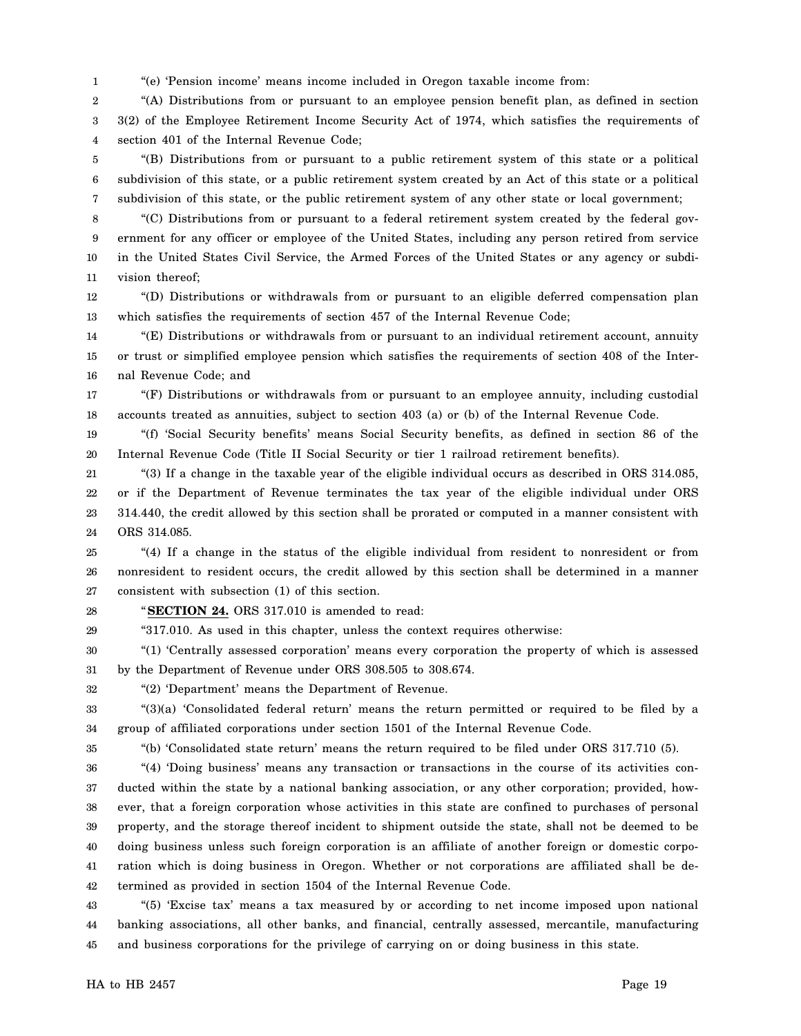1 "(e) 'Pension income' means income included in Oregon taxable income from:

2 3 4 "(A) Distributions from or pursuant to an employee pension benefit plan, as defined in section 3(2) of the Employee Retirement Income Security Act of 1974, which satisfies the requirements of section 401 of the Internal Revenue Code;

5 6 7 "(B) Distributions from or pursuant to a public retirement system of this state or a political subdivision of this state, or a public retirement system created by an Act of this state or a political subdivision of this state, or the public retirement system of any other state or local government;

8 9 10 11 "(C) Distributions from or pursuant to a federal retirement system created by the federal government for any officer or employee of the United States, including any person retired from service in the United States Civil Service, the Armed Forces of the United States or any agency or subdivision thereof;

12 13 "(D) Distributions or withdrawals from or pursuant to an eligible deferred compensation plan which satisfies the requirements of section 457 of the Internal Revenue Code;

14 15 16 "(E) Distributions or withdrawals from or pursuant to an individual retirement account, annuity or trust or simplified employee pension which satisfies the requirements of section 408 of the Internal Revenue Code; and

17 18 "(F) Distributions or withdrawals from or pursuant to an employee annuity, including custodial accounts treated as annuities, subject to section 403 (a) or (b) of the Internal Revenue Code.

19 20 "(f) 'Social Security benefits' means Social Security benefits, as defined in section 86 of the Internal Revenue Code (Title II Social Security or tier 1 railroad retirement benefits).

21 22 23 24 "(3) If a change in the taxable year of the eligible individual occurs as described in ORS 314.085, or if the Department of Revenue terminates the tax year of the eligible individual under ORS 314.440, the credit allowed by this section shall be prorated or computed in a manner consistent with ORS 314.085.

25 26 27 "(4) If a change in the status of the eligible individual from resident to nonresident or from nonresident to resident occurs, the credit allowed by this section shall be determined in a manner consistent with subsection (1) of this section.

28

"**SECTION 24.** ORS 317.010 is amended to read:

29 "317.010. As used in this chapter, unless the context requires otherwise:

30 31 "(1) 'Centrally assessed corporation' means every corporation the property of which is assessed by the Department of Revenue under ORS 308.505 to 308.674.

32 "(2) 'Department' means the Department of Revenue.

33 34 "(3)(a) 'Consolidated federal return' means the return permitted or required to be filed by a group of affiliated corporations under section 1501 of the Internal Revenue Code.

35

"(b) 'Consolidated state return' means the return required to be filed under ORS 317.710 (5).

36 37 38 39 40 41 42 "(4) 'Doing business' means any transaction or transactions in the course of its activities conducted within the state by a national banking association, or any other corporation; provided, however, that a foreign corporation whose activities in this state are confined to purchases of personal property, and the storage thereof incident to shipment outside the state, shall not be deemed to be doing business unless such foreign corporation is an affiliate of another foreign or domestic corporation which is doing business in Oregon. Whether or not corporations are affiliated shall be determined as provided in section 1504 of the Internal Revenue Code.

43 44 45 "(5) 'Excise tax' means a tax measured by or according to net income imposed upon national banking associations, all other banks, and financial, centrally assessed, mercantile, manufacturing and business corporations for the privilege of carrying on or doing business in this state.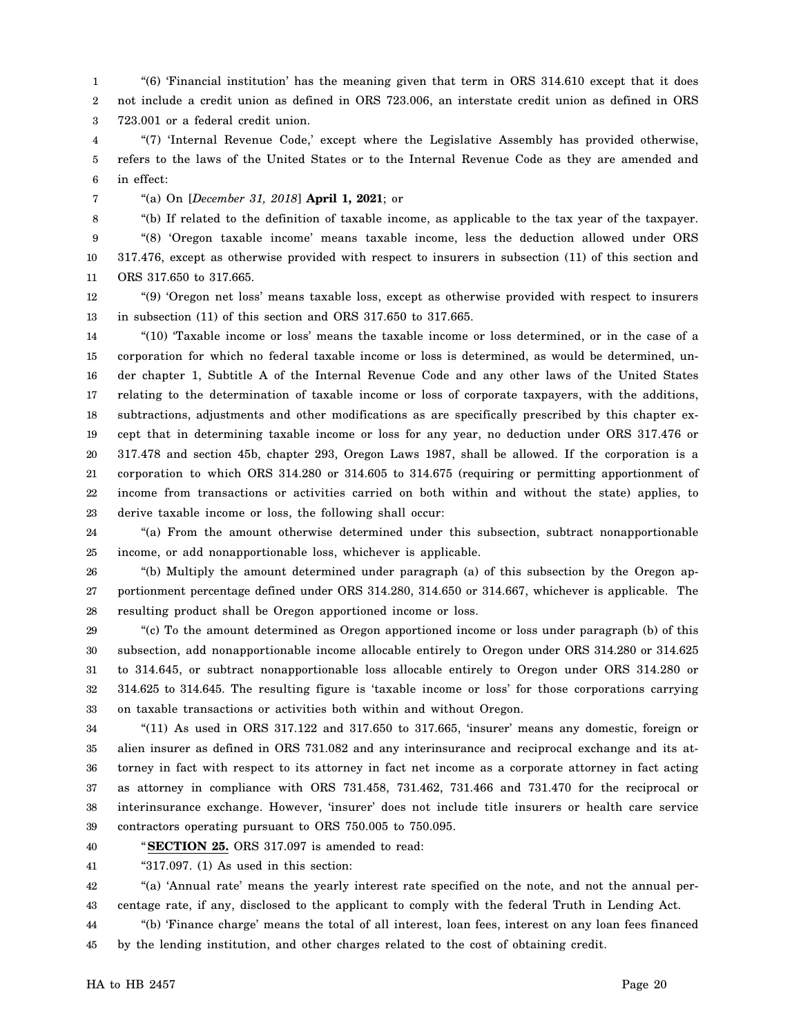1 2 3 "(6) 'Financial institution' has the meaning given that term in ORS 314.610 except that it does not include a credit union as defined in ORS 723.006, an interstate credit union as defined in ORS 723.001 or a federal credit union.

4 5 6 "(7) 'Internal Revenue Code,' except where the Legislative Assembly has provided otherwise, refers to the laws of the United States or to the Internal Revenue Code as they are amended and in effect:

7 "(a) On [*December 31, 2018*] **April 1, 2021**; or

8

"(b) If related to the definition of taxable income, as applicable to the tax year of the taxpayer.

9 10 11 "(8) 'Oregon taxable income' means taxable income, less the deduction allowed under ORS 317.476, except as otherwise provided with respect to insurers in subsection (11) of this section and ORS 317.650 to 317.665.

12 13 "(9) 'Oregon net loss' means taxable loss, except as otherwise provided with respect to insurers in subsection (11) of this section and ORS 317.650 to 317.665.

14 15 16 17 18 19 20 21 22 23 "(10) 'Taxable income or loss' means the taxable income or loss determined, or in the case of a corporation for which no federal taxable income or loss is determined, as would be determined, under chapter 1, Subtitle A of the Internal Revenue Code and any other laws of the United States relating to the determination of taxable income or loss of corporate taxpayers, with the additions, subtractions, adjustments and other modifications as are specifically prescribed by this chapter except that in determining taxable income or loss for any year, no deduction under ORS 317.476 or 317.478 and section 45b, chapter 293, Oregon Laws 1987, shall be allowed. If the corporation is a corporation to which ORS 314.280 or 314.605 to 314.675 (requiring or permitting apportionment of income from transactions or activities carried on both within and without the state) applies, to derive taxable income or loss, the following shall occur:

24 25 "(a) From the amount otherwise determined under this subsection, subtract nonapportionable income, or add nonapportionable loss, whichever is applicable.

26 27 28 "(b) Multiply the amount determined under paragraph (a) of this subsection by the Oregon apportionment percentage defined under ORS 314.280, 314.650 or 314.667, whichever is applicable. The resulting product shall be Oregon apportioned income or loss.

29 30 31 32 33 "(c) To the amount determined as Oregon apportioned income or loss under paragraph (b) of this subsection, add nonapportionable income allocable entirely to Oregon under ORS 314.280 or 314.625 to 314.645, or subtract nonapportionable loss allocable entirely to Oregon under ORS 314.280 or 314.625 to 314.645. The resulting figure is 'taxable income or loss' for those corporations carrying on taxable transactions or activities both within and without Oregon.

34 35 36 37 38 39 " $(11)$  As used in ORS 317.122 and 317.650 to 317.665, 'insurer' means any domestic, foreign or alien insurer as defined in ORS 731.082 and any interinsurance and reciprocal exchange and its attorney in fact with respect to its attorney in fact net income as a corporate attorney in fact acting as attorney in compliance with ORS 731.458, 731.462, 731.466 and 731.470 for the reciprocal or interinsurance exchange. However, 'insurer' does not include title insurers or health care service contractors operating pursuant to ORS 750.005 to 750.095.

40

"**SECTION 25.** ORS 317.097 is amended to read:

41 "317.097. (1) As used in this section:

42 43 "(a) 'Annual rate' means the yearly interest rate specified on the note, and not the annual percentage rate, if any, disclosed to the applicant to comply with the federal Truth in Lending Act.

44 45 "(b) 'Finance charge' means the total of all interest, loan fees, interest on any loan fees financed by the lending institution, and other charges related to the cost of obtaining credit.

HA to HB 2457 Page 20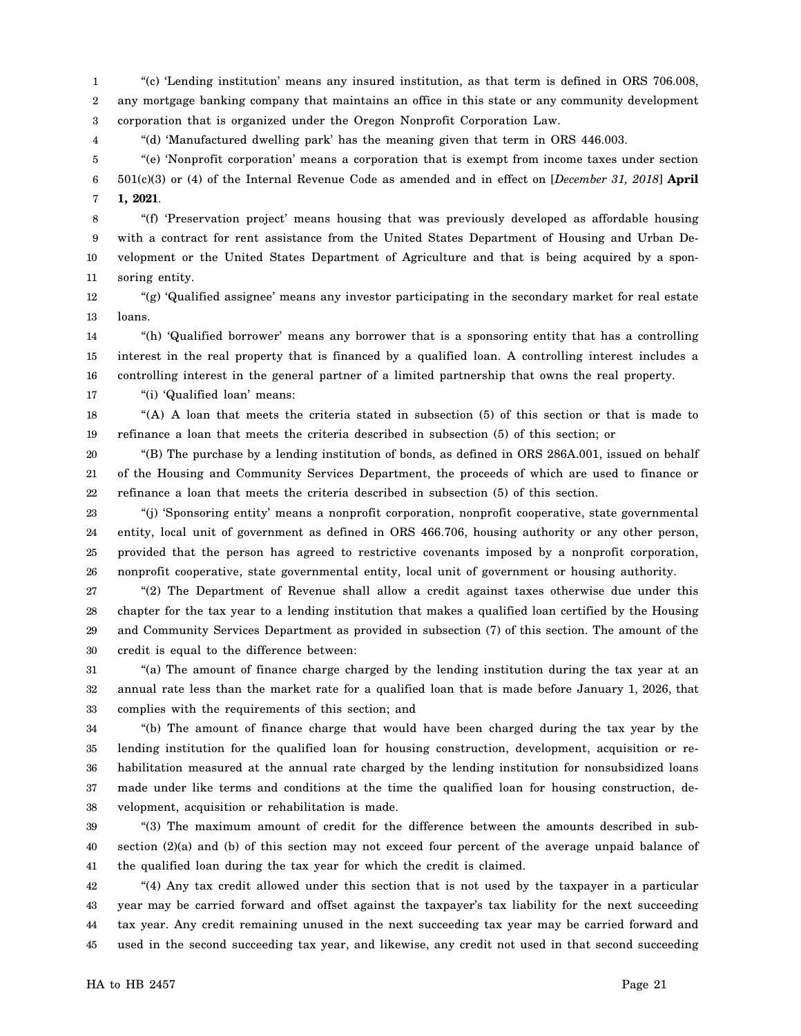1 2 3 "(c) 'Lending institution' means any insured institution, as that term is defined in ORS 706.008, any mortgage banking company that maintains an office in this state or any community development corporation that is organized under the Oregon Nonprofit Corporation Law.

"(d) 'Manufactured dwelling park' has the meaning given that term in ORS 446.003.

5 6 7 "(e) 'Nonprofit corporation' means a corporation that is exempt from income taxes under section 501(c)(3) or (4) of the Internal Revenue Code as amended and in effect on [*December 31, 2018*] **April 1, 2021**.

8 9 10 11 "(f) 'Preservation project' means housing that was previously developed as affordable housing with a contract for rent assistance from the United States Department of Housing and Urban Development or the United States Department of Agriculture and that is being acquired by a sponsoring entity.

12 13 "(g) 'Qualified assignee' means any investor participating in the secondary market for real estate loans.

14 15 16 "(h) 'Qualified borrower' means any borrower that is a sponsoring entity that has a controlling interest in the real property that is financed by a qualified loan. A controlling interest includes a controlling interest in the general partner of a limited partnership that owns the real property.

17 "(i) 'Qualified loan' means:

4

18 19 "(A) A loan that meets the criteria stated in subsection (5) of this section or that is made to refinance a loan that meets the criteria described in subsection (5) of this section; or

20 21 22 "(B) The purchase by a lending institution of bonds, as defined in ORS 286A.001, issued on behalf of the Housing and Community Services Department, the proceeds of which are used to finance or refinance a loan that meets the criteria described in subsection (5) of this section.

23 24 25 26 "(j) 'Sponsoring entity' means a nonprofit corporation, nonprofit cooperative, state governmental entity, local unit of government as defined in ORS 466.706, housing authority or any other person, provided that the person has agreed to restrictive covenants imposed by a nonprofit corporation, nonprofit cooperative, state governmental entity, local unit of government or housing authority.

27 28 29 30 "(2) The Department of Revenue shall allow a credit against taxes otherwise due under this chapter for the tax year to a lending institution that makes a qualified loan certified by the Housing and Community Services Department as provided in subsection (7) of this section. The amount of the credit is equal to the difference between:

31 32 33 "(a) The amount of finance charge charged by the lending institution during the tax year at an annual rate less than the market rate for a qualified loan that is made before January 1, 2026, that complies with the requirements of this section; and

34 35 36 37 38 "(b) The amount of finance charge that would have been charged during the tax year by the lending institution for the qualified loan for housing construction, development, acquisition or rehabilitation measured at the annual rate charged by the lending institution for nonsubsidized loans made under like terms and conditions at the time the qualified loan for housing construction, development, acquisition or rehabilitation is made.

39 40 41 "(3) The maximum amount of credit for the difference between the amounts described in subsection (2)(a) and (b) of this section may not exceed four percent of the average unpaid balance of the qualified loan during the tax year for which the credit is claimed.

42 43 44 45 "(4) Any tax credit allowed under this section that is not used by the taxpayer in a particular year may be carried forward and offset against the taxpayer's tax liability for the next succeeding tax year. Any credit remaining unused in the next succeeding tax year may be carried forward and used in the second succeeding tax year, and likewise, any credit not used in that second succeeding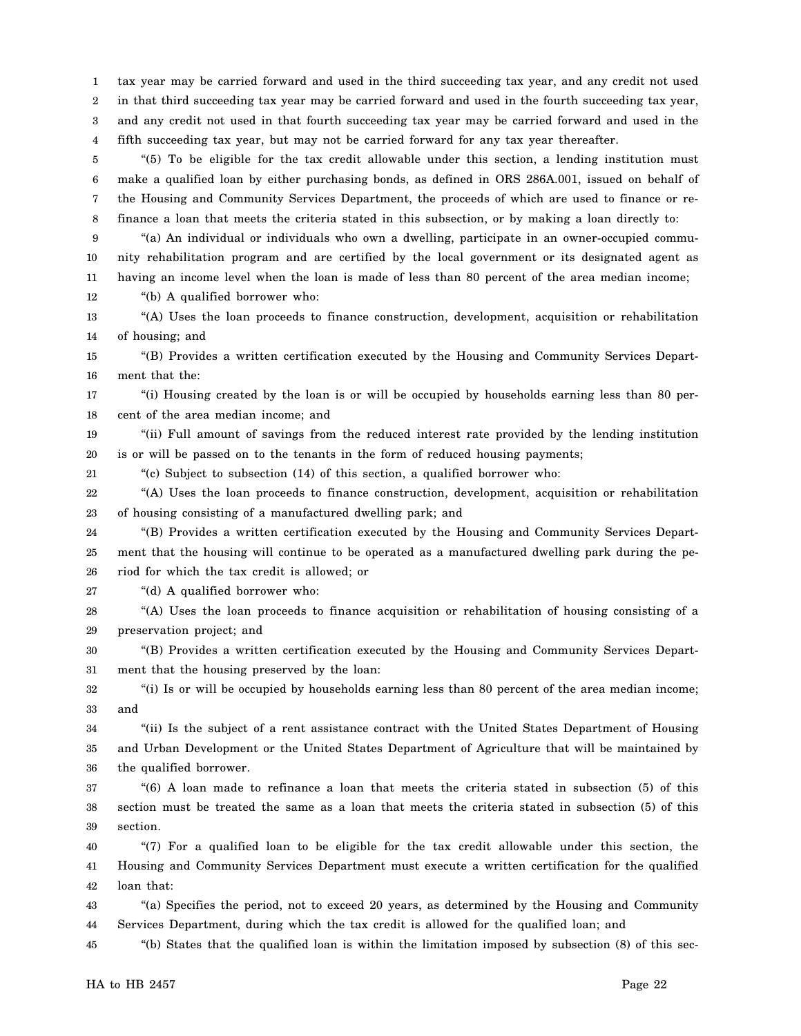1 2 3 4 tax year may be carried forward and used in the third succeeding tax year, and any credit not used in that third succeeding tax year may be carried forward and used in the fourth succeeding tax year, and any credit not used in that fourth succeeding tax year may be carried forward and used in the fifth succeeding tax year, but may not be carried forward for any tax year thereafter.

5 6 7 8 "(5) To be eligible for the tax credit allowable under this section, a lending institution must make a qualified loan by either purchasing bonds, as defined in ORS 286A.001, issued on behalf of the Housing and Community Services Department, the proceeds of which are used to finance or refinance a loan that meets the criteria stated in this subsection, or by making a loan directly to:

9 10 11 12 "(a) An individual or individuals who own a dwelling, participate in an owner-occupied community rehabilitation program and are certified by the local government or its designated agent as having an income level when the loan is made of less than 80 percent of the area median income;

"(b) A qualified borrower who:

13 14 "(A) Uses the loan proceeds to finance construction, development, acquisition or rehabilitation of housing; and

15 16 "(B) Provides a written certification executed by the Housing and Community Services Department that the:

17 18 "(i) Housing created by the loan is or will be occupied by households earning less than 80 percent of the area median income; and

19 20 "(ii) Full amount of savings from the reduced interest rate provided by the lending institution is or will be passed on to the tenants in the form of reduced housing payments;

21 "(c) Subject to subsection (14) of this section, a qualified borrower who:

22 23 "(A) Uses the loan proceeds to finance construction, development, acquisition or rehabilitation of housing consisting of a manufactured dwelling park; and

24 25 26 "(B) Provides a written certification executed by the Housing and Community Services Department that the housing will continue to be operated as a manufactured dwelling park during the period for which the tax credit is allowed; or

27 "(d) A qualified borrower who:

28 29 "(A) Uses the loan proceeds to finance acquisition or rehabilitation of housing consisting of a preservation project; and

30 31 "(B) Provides a written certification executed by the Housing and Community Services Department that the housing preserved by the loan:

32 33 "(i) Is or will be occupied by households earning less than 80 percent of the area median income; and

34 35 36 "(ii) Is the subject of a rent assistance contract with the United States Department of Housing and Urban Development or the United States Department of Agriculture that will be maintained by the qualified borrower.

37 38 39 "(6) A loan made to refinance a loan that meets the criteria stated in subsection (5) of this section must be treated the same as a loan that meets the criteria stated in subsection (5) of this section.

40 41 42 "(7) For a qualified loan to be eligible for the tax credit allowable under this section, the Housing and Community Services Department must execute a written certification for the qualified loan that:

43 44 "(a) Specifies the period, not to exceed 20 years, as determined by the Housing and Community Services Department, during which the tax credit is allowed for the qualified loan; and

45 "(b) States that the qualified loan is within the limitation imposed by subsection (8) of this sec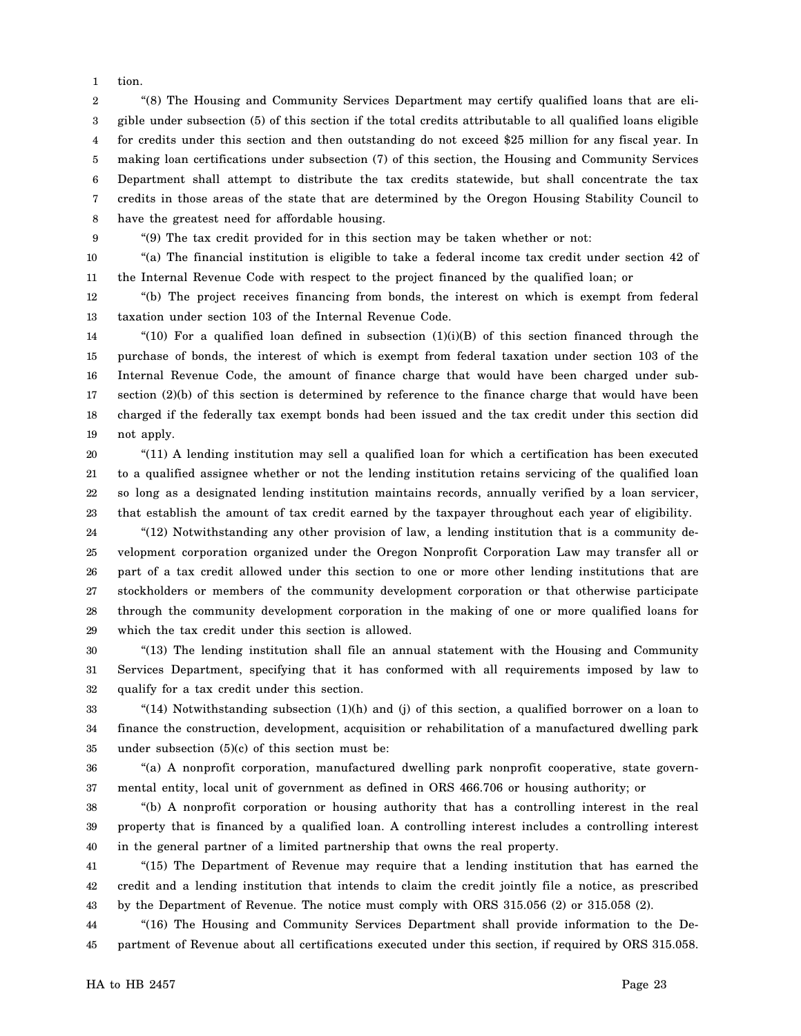1 tion.

2 3 4 5 6 7 8 "(8) The Housing and Community Services Department may certify qualified loans that are eligible under subsection (5) of this section if the total credits attributable to all qualified loans eligible for credits under this section and then outstanding do not exceed \$25 million for any fiscal year. In making loan certifications under subsection (7) of this section, the Housing and Community Services Department shall attempt to distribute the tax credits statewide, but shall concentrate the tax credits in those areas of the state that are determined by the Oregon Housing Stability Council to have the greatest need for affordable housing.

9

"(9) The tax credit provided for in this section may be taken whether or not:

10 11 "(a) The financial institution is eligible to take a federal income tax credit under section 42 of the Internal Revenue Code with respect to the project financed by the qualified loan; or

12 13 "(b) The project receives financing from bonds, the interest on which is exempt from federal taxation under section 103 of the Internal Revenue Code.

14 15 16 17 18 19 "(10) For a qualified loan defined in subsection  $(1)(i)(B)$  of this section financed through the purchase of bonds, the interest of which is exempt from federal taxation under section 103 of the Internal Revenue Code, the amount of finance charge that would have been charged under subsection (2)(b) of this section is determined by reference to the finance charge that would have been charged if the federally tax exempt bonds had been issued and the tax credit under this section did not apply.

20 21 22 23 "(11) A lending institution may sell a qualified loan for which a certification has been executed to a qualified assignee whether or not the lending institution retains servicing of the qualified loan so long as a designated lending institution maintains records, annually verified by a loan servicer, that establish the amount of tax credit earned by the taxpayer throughout each year of eligibility.

24 25 26 27 28 29 "(12) Notwithstanding any other provision of law, a lending institution that is a community development corporation organized under the Oregon Nonprofit Corporation Law may transfer all or part of a tax credit allowed under this section to one or more other lending institutions that are stockholders or members of the community development corporation or that otherwise participate through the community development corporation in the making of one or more qualified loans for which the tax credit under this section is allowed.

30 31 32 "(13) The lending institution shall file an annual statement with the Housing and Community Services Department, specifying that it has conformed with all requirements imposed by law to qualify for a tax credit under this section.

33 34 35 "(14) Notwithstanding subsection  $(1)(h)$  and  $(j)$  of this section, a qualified borrower on a loan to finance the construction, development, acquisition or rehabilitation of a manufactured dwelling park under subsection  $(5)(c)$  of this section must be:

36 37 "(a) A nonprofit corporation, manufactured dwelling park nonprofit cooperative, state governmental entity, local unit of government as defined in ORS 466.706 or housing authority; or

38 39 40 "(b) A nonprofit corporation or housing authority that has a controlling interest in the real property that is financed by a qualified loan. A controlling interest includes a controlling interest in the general partner of a limited partnership that owns the real property.

41 42 43 "(15) The Department of Revenue may require that a lending institution that has earned the credit and a lending institution that intends to claim the credit jointly file a notice, as prescribed by the Department of Revenue. The notice must comply with ORS 315.056 (2) or 315.058 (2).

44 45 "(16) The Housing and Community Services Department shall provide information to the Department of Revenue about all certifications executed under this section, if required by ORS 315.058.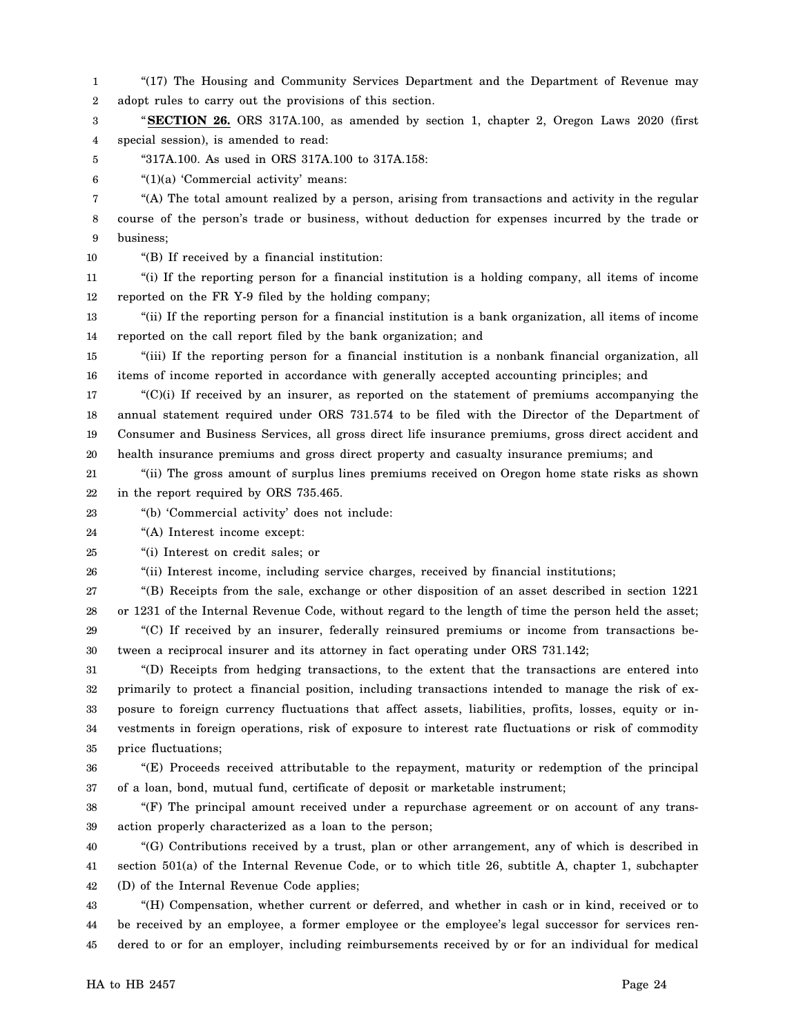1 2 "(17) The Housing and Community Services Department and the Department of Revenue may adopt rules to carry out the provisions of this section.

3 4 "**SECTION 26.** ORS 317A.100, as amended by section 1, chapter 2, Oregon Laws 2020 (first special session), is amended to read:

5 "317A.100. As used in ORS 317A.100 to 317A.158:

6 "(1)(a) 'Commercial activity' means:

7 8 9 "(A) The total amount realized by a person, arising from transactions and activity in the regular course of the person's trade or business, without deduction for expenses incurred by the trade or business;

10 "(B) If received by a financial institution:

11 12 "(i) If the reporting person for a financial institution is a holding company, all items of income reported on the FR Y-9 filed by the holding company;

13 14 "(ii) If the reporting person for a financial institution is a bank organization, all items of income reported on the call report filed by the bank organization; and

15 16 "(iii) If the reporting person for a financial institution is a nonbank financial organization, all items of income reported in accordance with generally accepted accounting principles; and

17 18 19 20 "(C)(i) If received by an insurer, as reported on the statement of premiums accompanying the annual statement required under ORS 731.574 to be filed with the Director of the Department of Consumer and Business Services, all gross direct life insurance premiums, gross direct accident and health insurance premiums and gross direct property and casualty insurance premiums; and

21 22 "(ii) The gross amount of surplus lines premiums received on Oregon home state risks as shown in the report required by ORS 735.465.

23 "(b) 'Commercial activity' does not include:

24 "(A) Interest income except:

25 "(i) Interest on credit sales; or

26 "(ii) Interest income, including service charges, received by financial institutions;

27 28 "(B) Receipts from the sale, exchange or other disposition of an asset described in section 1221 or 1231 of the Internal Revenue Code, without regard to the length of time the person held the asset;

29 30 "(C) If received by an insurer, federally reinsured premiums or income from transactions between a reciprocal insurer and its attorney in fact operating under ORS 731.142;

31 32 33 34 35 "(D) Receipts from hedging transactions, to the extent that the transactions are entered into primarily to protect a financial position, including transactions intended to manage the risk of exposure to foreign currency fluctuations that affect assets, liabilities, profits, losses, equity or investments in foreign operations, risk of exposure to interest rate fluctuations or risk of commodity price fluctuations;

36 37 "(E) Proceeds received attributable to the repayment, maturity or redemption of the principal of a loan, bond, mutual fund, certificate of deposit or marketable instrument;

38 39 "(F) The principal amount received under a repurchase agreement or on account of any transaction properly characterized as a loan to the person;

40 41 42 "(G) Contributions received by a trust, plan or other arrangement, any of which is described in section 501(a) of the Internal Revenue Code, or to which title 26, subtitle A, chapter 1, subchapter (D) of the Internal Revenue Code applies;

43 44 45 "(H) Compensation, whether current or deferred, and whether in cash or in kind, received or to be received by an employee, a former employee or the employee's legal successor for services rendered to or for an employer, including reimbursements received by or for an individual for medical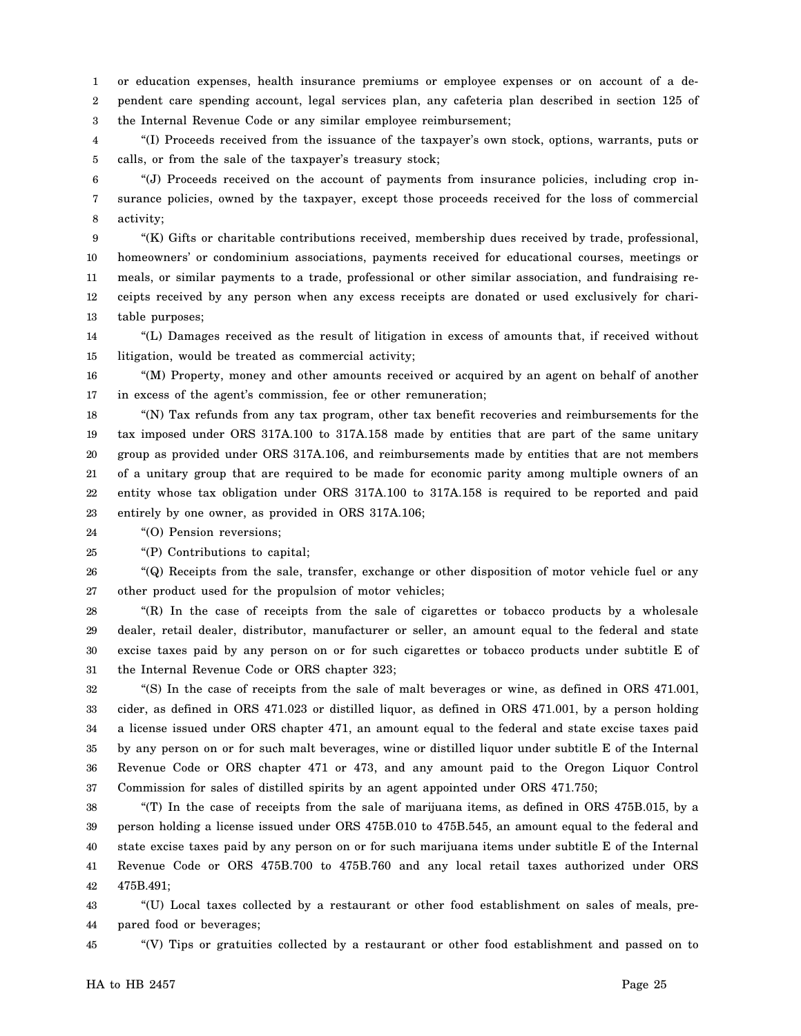1 2 3 or education expenses, health insurance premiums or employee expenses or on account of a dependent care spending account, legal services plan, any cafeteria plan described in section 125 of the Internal Revenue Code or any similar employee reimbursement;

4 5 "(I) Proceeds received from the issuance of the taxpayer's own stock, options, warrants, puts or calls, or from the sale of the taxpayer's treasury stock;

6 7 8 "(J) Proceeds received on the account of payments from insurance policies, including crop insurance policies, owned by the taxpayer, except those proceeds received for the loss of commercial activity;

9 10 11 12 13 "(K) Gifts or charitable contributions received, membership dues received by trade, professional, homeowners' or condominium associations, payments received for educational courses, meetings or meals, or similar payments to a trade, professional or other similar association, and fundraising receipts received by any person when any excess receipts are donated or used exclusively for charitable purposes;

14 15 "(L) Damages received as the result of litigation in excess of amounts that, if received without litigation, would be treated as commercial activity;

16 17 "(M) Property, money and other amounts received or acquired by an agent on behalf of another in excess of the agent's commission, fee or other remuneration;

18 19 20 21 22 23 "(N) Tax refunds from any tax program, other tax benefit recoveries and reimbursements for the tax imposed under ORS 317A.100 to 317A.158 made by entities that are part of the same unitary group as provided under ORS 317A.106, and reimbursements made by entities that are not members of a unitary group that are required to be made for economic parity among multiple owners of an entity whose tax obligation under ORS 317A.100 to 317A.158 is required to be reported and paid entirely by one owner, as provided in ORS 317A.106;

24 "(O) Pension reversions;

25 "(P) Contributions to capital;

26 27 "(Q) Receipts from the sale, transfer, exchange or other disposition of motor vehicle fuel or any other product used for the propulsion of motor vehicles;

28 29 30 31 "(R) In the case of receipts from the sale of cigarettes or tobacco products by a wholesale dealer, retail dealer, distributor, manufacturer or seller, an amount equal to the federal and state excise taxes paid by any person on or for such cigarettes or tobacco products under subtitle E of the Internal Revenue Code or ORS chapter 323;

32 33 34 35 36 37 "(S) In the case of receipts from the sale of malt beverages or wine, as defined in ORS 471.001, cider, as defined in ORS 471.023 or distilled liquor, as defined in ORS 471.001, by a person holding a license issued under ORS chapter 471, an amount equal to the federal and state excise taxes paid by any person on or for such malt beverages, wine or distilled liquor under subtitle E of the Internal Revenue Code or ORS chapter 471 or 473, and any amount paid to the Oregon Liquor Control Commission for sales of distilled spirits by an agent appointed under ORS 471.750;

38 39 40 41 42 "(T) In the case of receipts from the sale of marijuana items, as defined in ORS 475B.015, by a person holding a license issued under ORS 475B.010 to 475B.545, an amount equal to the federal and state excise taxes paid by any person on or for such marijuana items under subtitle E of the Internal Revenue Code or ORS 475B.700 to 475B.760 and any local retail taxes authorized under ORS 475B.491;

43 44 "(U) Local taxes collected by a restaurant or other food establishment on sales of meals, prepared food or beverages;

45 "(V) Tips or gratuities collected by a restaurant or other food establishment and passed on to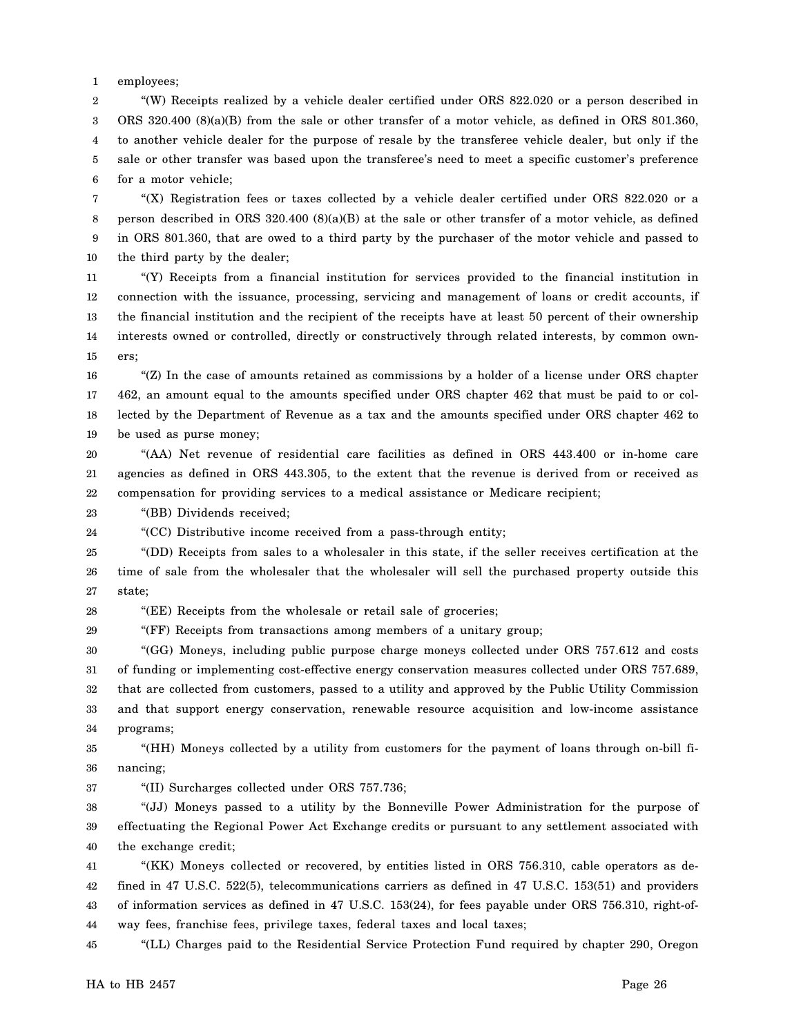1 employees;

2 3 4 5 6 "(W) Receipts realized by a vehicle dealer certified under ORS 822.020 or a person described in ORS 320.400 (8)(a)(B) from the sale or other transfer of a motor vehicle, as defined in ORS 801.360, to another vehicle dealer for the purpose of resale by the transferee vehicle dealer, but only if the sale or other transfer was based upon the transferee's need to meet a specific customer's preference for a motor vehicle;

7 8 9 10 "(X) Registration fees or taxes collected by a vehicle dealer certified under ORS 822.020 or a person described in ORS 320.400 (8)(a)(B) at the sale or other transfer of a motor vehicle, as defined in ORS 801.360, that are owed to a third party by the purchaser of the motor vehicle and passed to the third party by the dealer;

11 12 13 14 15 "(Y) Receipts from a financial institution for services provided to the financial institution in connection with the issuance, processing, servicing and management of loans or credit accounts, if the financial institution and the recipient of the receipts have at least 50 percent of their ownership interests owned or controlled, directly or constructively through related interests, by common owners;

16 17 18 19 " $(Z)$  In the case of amounts retained as commissions by a holder of a license under ORS chapter 462, an amount equal to the amounts specified under ORS chapter 462 that must be paid to or collected by the Department of Revenue as a tax and the amounts specified under ORS chapter 462 to be used as purse money;

20 21 22 "(AA) Net revenue of residential care facilities as defined in ORS 443.400 or in-home care agencies as defined in ORS 443.305, to the extent that the revenue is derived from or received as compensation for providing services to a medical assistance or Medicare recipient;

23 "(BB) Dividends received;

24 "(CC) Distributive income received from a pass-through entity;

25 26 27 "(DD) Receipts from sales to a wholesaler in this state, if the seller receives certification at the time of sale from the wholesaler that the wholesaler will sell the purchased property outside this state;

28 "(EE) Receipts from the wholesale or retail sale of groceries;

29 "(FF) Receipts from transactions among members of a unitary group;

30 31 32 33 34 "(GG) Moneys, including public purpose charge moneys collected under ORS 757.612 and costs of funding or implementing cost-effective energy conservation measures collected under ORS 757.689, that are collected from customers, passed to a utility and approved by the Public Utility Commission and that support energy conservation, renewable resource acquisition and low-income assistance programs;

35 36 "(HH) Moneys collected by a utility from customers for the payment of loans through on-bill financing;

37

"(II) Surcharges collected under ORS 757.736;

38 39 40 "(JJ) Moneys passed to a utility by the Bonneville Power Administration for the purpose of effectuating the Regional Power Act Exchange credits or pursuant to any settlement associated with the exchange credit;

41 42 43 44 "(KK) Moneys collected or recovered, by entities listed in ORS 756.310, cable operators as defined in 47 U.S.C. 522(5), telecommunications carriers as defined in 47 U.S.C. 153(51) and providers of information services as defined in 47 U.S.C. 153(24), for fees payable under ORS 756.310, right-ofway fees, franchise fees, privilege taxes, federal taxes and local taxes;

45 "(LL) Charges paid to the Residential Service Protection Fund required by chapter 290, Oregon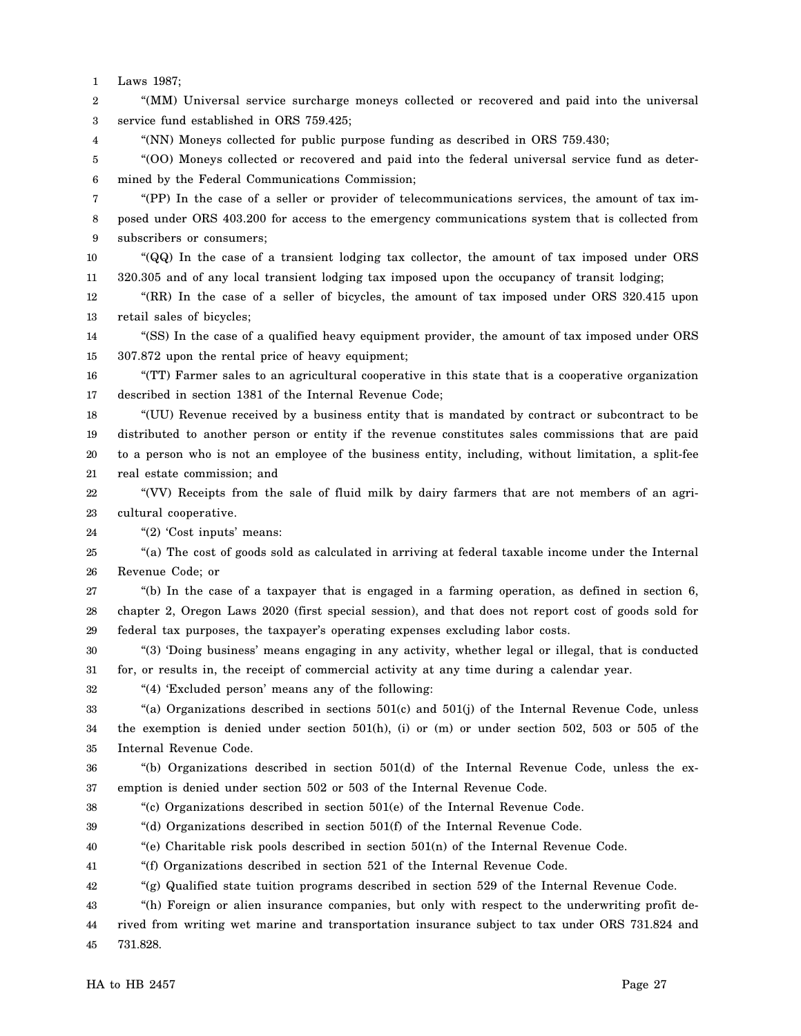1 Laws 1987;

2 3 "(MM) Universal service surcharge moneys collected or recovered and paid into the universal service fund established in ORS 759.425;

4 "(NN) Moneys collected for public purpose funding as described in ORS 759.430;

5 6 "(OO) Moneys collected or recovered and paid into the federal universal service fund as determined by the Federal Communications Commission;

7 8 9 "(PP) In the case of a seller or provider of telecommunications services, the amount of tax imposed under ORS 403.200 for access to the emergency communications system that is collected from subscribers or consumers;

10 11 "(QQ) In the case of a transient lodging tax collector, the amount of tax imposed under ORS 320.305 and of any local transient lodging tax imposed upon the occupancy of transit lodging;

12 13 "(RR) In the case of a seller of bicycles, the amount of tax imposed under ORS 320.415 upon retail sales of bicycles;

14 15 "(SS) In the case of a qualified heavy equipment provider, the amount of tax imposed under ORS 307.872 upon the rental price of heavy equipment;

16 17 "(TT) Farmer sales to an agricultural cooperative in this state that is a cooperative organization described in section 1381 of the Internal Revenue Code;

18 19 20 21 "(UU) Revenue received by a business entity that is mandated by contract or subcontract to be distributed to another person or entity if the revenue constitutes sales commissions that are paid to a person who is not an employee of the business entity, including, without limitation, a split-fee real estate commission; and

22 23 "(VV) Receipts from the sale of fluid milk by dairy farmers that are not members of an agricultural cooperative.

24 "(2) 'Cost inputs' means:

25 26 "(a) The cost of goods sold as calculated in arriving at federal taxable income under the Internal Revenue Code; or

27 28 29 "(b) In the case of a taxpayer that is engaged in a farming operation, as defined in section 6, chapter 2, Oregon Laws 2020 (first special session), and that does not report cost of goods sold for federal tax purposes, the taxpayer's operating expenses excluding labor costs.

30 31 "(3) 'Doing business' means engaging in any activity, whether legal or illegal, that is conducted for, or results in, the receipt of commercial activity at any time during a calendar year.

32 "(4) 'Excluded person' means any of the following:

33 34 35 "(a) Organizations described in sections  $501(c)$  and  $501(j)$  of the Internal Revenue Code, unless the exemption is denied under section 501(h), (i) or (m) or under section 502, 503 or 505 of the Internal Revenue Code.

36 37 "(b) Organizations described in section 501(d) of the Internal Revenue Code, unless the exemption is denied under section 502 or 503 of the Internal Revenue Code.

38 "(c) Organizations described in section 501(e) of the Internal Revenue Code.

39 "(d) Organizations described in section 501(f) of the Internal Revenue Code.

40 "(e) Charitable risk pools described in section 501(n) of the Internal Revenue Code.

41 "(f) Organizations described in section 521 of the Internal Revenue Code.

42 "(g) Qualified state tuition programs described in section 529 of the Internal Revenue Code.

43 44 45 "(h) Foreign or alien insurance companies, but only with respect to the underwriting profit derived from writing wet marine and transportation insurance subject to tax under ORS 731.824 and 731.828.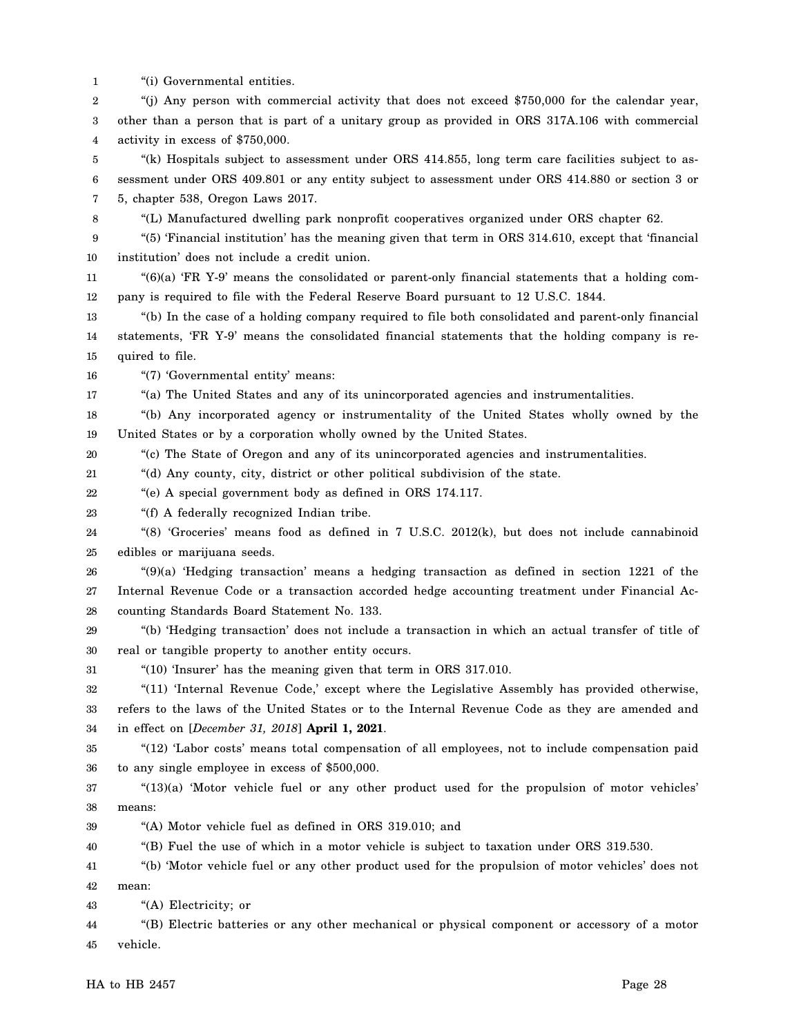1 "(i) Governmental entities.

2 3 4 "(j) Any person with commercial activity that does not exceed \$750,000 for the calendar year, other than a person that is part of a unitary group as provided in ORS 317A.106 with commercial activity in excess of \$750,000.

5 6 7 "(k) Hospitals subject to assessment under ORS 414.855, long term care facilities subject to assessment under ORS 409.801 or any entity subject to assessment under ORS 414.880 or section 3 or 5, chapter 538, Oregon Laws 2017.

- 8
- "(L) Manufactured dwelling park nonprofit cooperatives organized under ORS chapter 62.

9 10 "(5) 'Financial institution' has the meaning given that term in ORS 314.610, except that 'financial institution' does not include a credit union.

11 12  $^{(6)}$ (a) 'FR Y-9' means the consolidated or parent-only financial statements that a holding company is required to file with the Federal Reserve Board pursuant to 12 U.S.C. 1844.

13 14 15 "(b) In the case of a holding company required to file both consolidated and parent-only financial statements, 'FR Y-9' means the consolidated financial statements that the holding company is required to file.

16 "(7) 'Governmental entity' means:

17 "(a) The United States and any of its unincorporated agencies and instrumentalities.

18 19 "(b) Any incorporated agency or instrumentality of the United States wholly owned by the United States or by a corporation wholly owned by the United States.

20 "(c) The State of Oregon and any of its unincorporated agencies and instrumentalities.

21 "(d) Any county, city, district or other political subdivision of the state.

22 "(e) A special government body as defined in ORS 174.117.

23 "(f) A federally recognized Indian tribe.

24 25 "(8) 'Groceries' means food as defined in 7 U.S.C. 2012(k), but does not include cannabinoid edibles or marijuana seeds.

26 27 28 "(9)(a) 'Hedging transaction' means a hedging transaction as defined in section 1221 of the Internal Revenue Code or a transaction accorded hedge accounting treatment under Financial Accounting Standards Board Statement No. 133.

29 30 "(b) 'Hedging transaction' does not include a transaction in which an actual transfer of title of real or tangible property to another entity occurs.

31 "(10) 'Insurer' has the meaning given that term in ORS 317.010.

32 33 34 "(11) 'Internal Revenue Code,' except where the Legislative Assembly has provided otherwise, refers to the laws of the United States or to the Internal Revenue Code as they are amended and in effect on [*December 31, 2018*] **April 1, 2021**.

35 36 "(12) 'Labor costs' means total compensation of all employees, not to include compensation paid to any single employee in excess of \$500,000.

37 38  $(13)(a)$  'Motor vehicle fuel or any other product used for the propulsion of motor vehicles' means:

39 "(A) Motor vehicle fuel as defined in ORS 319.010; and

40 "(B) Fuel the use of which in a motor vehicle is subject to taxation under ORS 319.530.

41 42 "(b) 'Motor vehicle fuel or any other product used for the propulsion of motor vehicles' does not mean:

43 "(A) Electricity; or

44 45 "(B) Electric batteries or any other mechanical or physical component or accessory of a motor vehicle.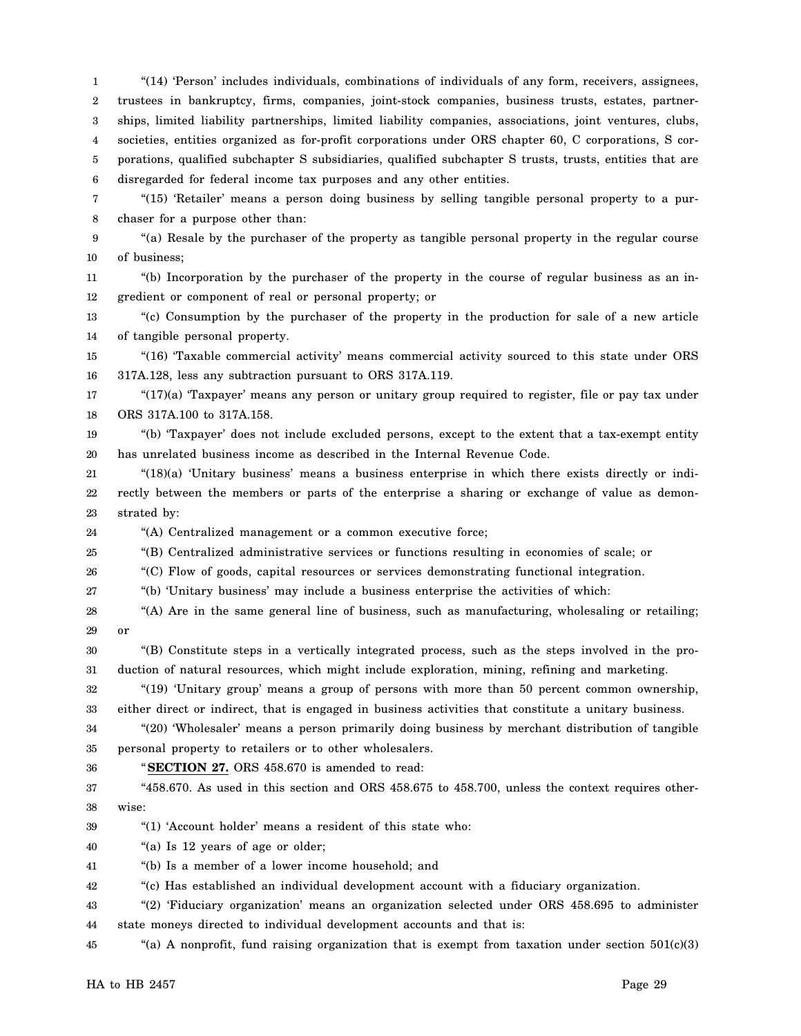1 2 3 4 5 6 7 8 "(14) 'Person' includes individuals, combinations of individuals of any form, receivers, assignees, trustees in bankruptcy, firms, companies, joint-stock companies, business trusts, estates, partnerships, limited liability partnerships, limited liability companies, associations, joint ventures, clubs, societies, entities organized as for-profit corporations under ORS chapter 60, C corporations, S corporations, qualified subchapter S subsidiaries, qualified subchapter S trusts, trusts, entities that are disregarded for federal income tax purposes and any other entities. "(15) 'Retailer' means a person doing business by selling tangible personal property to a purchaser for a purpose other than:

9 10 "(a) Resale by the purchaser of the property as tangible personal property in the regular course of business;

11 12 "(b) Incorporation by the purchaser of the property in the course of regular business as an ingredient or component of real or personal property; or

13 14 "(c) Consumption by the purchaser of the property in the production for sale of a new article of tangible personal property.

15 16 "(16) 'Taxable commercial activity' means commercial activity sourced to this state under ORS 317A.128, less any subtraction pursuant to ORS 317A.119.

17 18 "(17)(a) 'Taxpayer' means any person or unitary group required to register, file or pay tax under ORS 317A.100 to 317A.158.

19 20 "(b) 'Taxpayer' does not include excluded persons, except to the extent that a tax-exempt entity has unrelated business income as described in the Internal Revenue Code.

21 22 23 "(18)(a) 'Unitary business' means a business enterprise in which there exists directly or indirectly between the members or parts of the enterprise a sharing or exchange of value as demonstrated by:

24 "(A) Centralized management or a common executive force;

25 "(B) Centralized administrative services or functions resulting in economies of scale; or

26 "(C) Flow of goods, capital resources or services demonstrating functional integration.

27 "(b) 'Unitary business' may include a business enterprise the activities of which:

28 29 "(A) Are in the same general line of business, such as manufacturing, wholesaling or retailing; or

30 31 "(B) Constitute steps in a vertically integrated process, such as the steps involved in the production of natural resources, which might include exploration, mining, refining and marketing.

32 33 "(19) 'Unitary group' means a group of persons with more than 50 percent common ownership, either direct or indirect, that is engaged in business activities that constitute a unitary business.

34 35 "(20) 'Wholesaler' means a person primarily doing business by merchant distribution of tangible personal property to retailers or to other wholesalers.

36

"**SECTION 27.** ORS 458.670 is amended to read:

37 38 "458.670. As used in this section and ORS 458.675 to 458.700, unless the context requires otherwise:

39 "(1) 'Account holder' means a resident of this state who:

40 "(a) Is 12 years of age or older;

41 "(b) Is a member of a lower income household; and

42 "(c) Has established an individual development account with a fiduciary organization.

43 44 "(2) 'Fiduciary organization' means an organization selected under ORS 458.695 to administer state moneys directed to individual development accounts and that is:

45 "(a) A nonprofit, fund raising organization that is exempt from taxation under section  $501(c)(3)$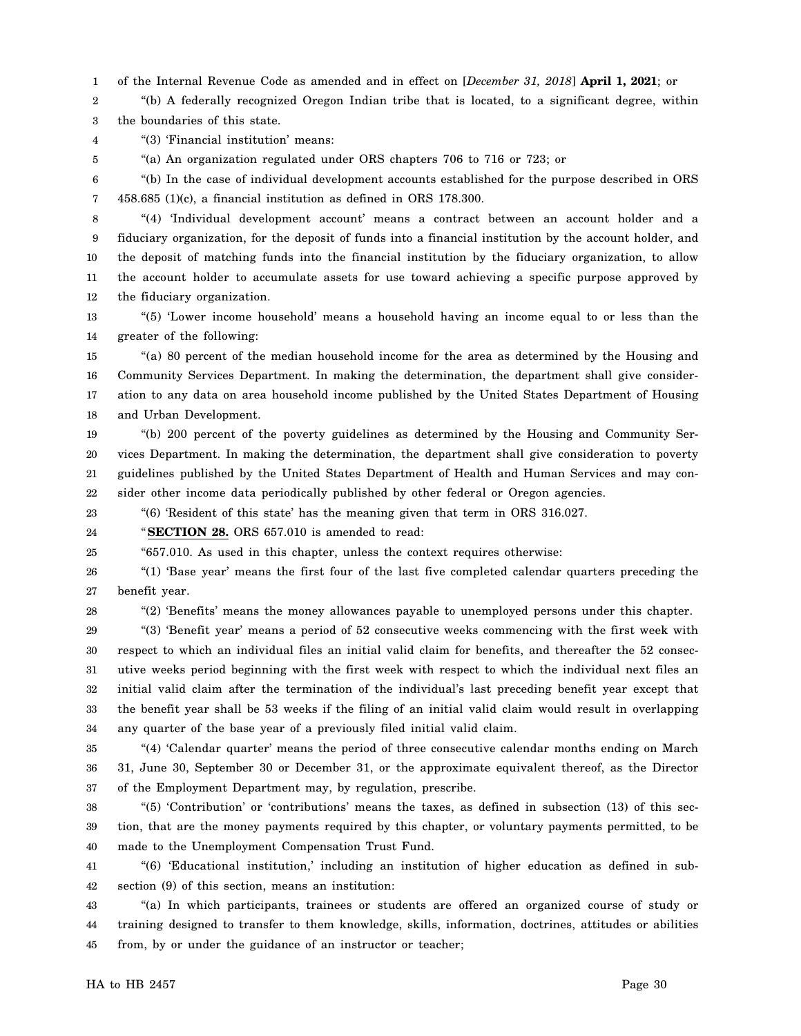1 of the Internal Revenue Code as amended and in effect on [*December 31, 2018*] **April 1, 2021**; or

2 3 "(b) A federally recognized Oregon Indian tribe that is located, to a significant degree, within the boundaries of this state.

4 "(3) 'Financial institution' means:

"(a) An organization regulated under ORS chapters 706 to 716 or 723; or

6 7 "(b) In the case of individual development accounts established for the purpose described in ORS 458.685 (1)(c), a financial institution as defined in ORS 178.300.

8 9 10 11 12 "(4) 'Individual development account' means a contract between an account holder and a fiduciary organization, for the deposit of funds into a financial institution by the account holder, and the deposit of matching funds into the financial institution by the fiduciary organization, to allow the account holder to accumulate assets for use toward achieving a specific purpose approved by the fiduciary organization.

13 14 "(5) 'Lower income household' means a household having an income equal to or less than the greater of the following:

15 16 17 18 "(a) 80 percent of the median household income for the area as determined by the Housing and Community Services Department. In making the determination, the department shall give consideration to any data on area household income published by the United States Department of Housing and Urban Development.

19 20 21 22 "(b) 200 percent of the poverty guidelines as determined by the Housing and Community Services Department. In making the determination, the department shall give consideration to poverty guidelines published by the United States Department of Health and Human Services and may consider other income data periodically published by other federal or Oregon agencies.

23 "(6) 'Resident of this state' has the meaning given that term in ORS 316.027.

24 "**SECTION 28.** ORS 657.010 is amended to read:

25 "657.010. As used in this chapter, unless the context requires otherwise:

26 27 "(1) 'Base year' means the first four of the last five completed calendar quarters preceding the benefit year.

28

5

"(2) 'Benefits' means the money allowances payable to unemployed persons under this chapter.

29 30 31 32 33 34 "(3) 'Benefit year' means a period of 52 consecutive weeks commencing with the first week with respect to which an individual files an initial valid claim for benefits, and thereafter the 52 consecutive weeks period beginning with the first week with respect to which the individual next files an initial valid claim after the termination of the individual's last preceding benefit year except that the benefit year shall be 53 weeks if the filing of an initial valid claim would result in overlapping any quarter of the base year of a previously filed initial valid claim.

35 36 37 "(4) 'Calendar quarter' means the period of three consecutive calendar months ending on March 31, June 30, September 30 or December 31, or the approximate equivalent thereof, as the Director of the Employment Department may, by regulation, prescribe.

38 39 40 "(5) 'Contribution' or 'contributions' means the taxes, as defined in subsection (13) of this section, that are the money payments required by this chapter, or voluntary payments permitted, to be made to the Unemployment Compensation Trust Fund.

41 42 "(6) 'Educational institution,' including an institution of higher education as defined in subsection (9) of this section, means an institution:

43 44 45 "(a) In which participants, trainees or students are offered an organized course of study or training designed to transfer to them knowledge, skills, information, doctrines, attitudes or abilities from, by or under the guidance of an instructor or teacher;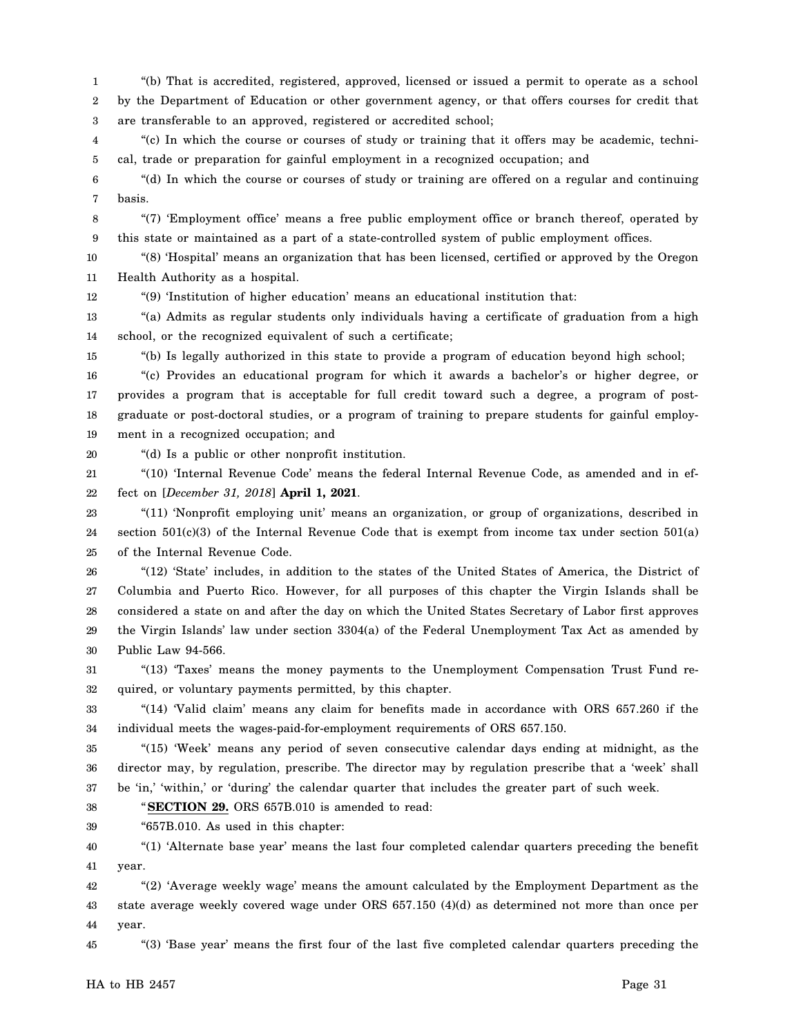1 2 3 "(b) That is accredited, registered, approved, licensed or issued a permit to operate as a school by the Department of Education or other government agency, or that offers courses for credit that are transferable to an approved, registered or accredited school;

4 5 "(c) In which the course or courses of study or training that it offers may be academic, technical, trade or preparation for gainful employment in a recognized occupation; and

6 7 "(d) In which the course or courses of study or training are offered on a regular and continuing basis.

8 9 "(7) 'Employment office' means a free public employment office or branch thereof, operated by this state or maintained as a part of a state-controlled system of public employment offices.

10 11 "(8) 'Hospital' means an organization that has been licensed, certified or approved by the Oregon Health Authority as a hospital.

"(9) 'Institution of higher education' means an educational institution that:

13 14 "(a) Admits as regular students only individuals having a certificate of graduation from a high school, or the recognized equivalent of such a certificate;

15 "(b) Is legally authorized in this state to provide a program of education beyond high school;

16 17 18 19 "(c) Provides an educational program for which it awards a bachelor's or higher degree, or provides a program that is acceptable for full credit toward such a degree, a program of postgraduate or post-doctoral studies, or a program of training to prepare students for gainful employment in a recognized occupation; and

20 "(d) Is a public or other nonprofit institution.

12

21 "(10) 'Internal Revenue Code' means the federal Internal Revenue Code, as amended and in ef-

22 fect on [*December 31, 2018*] **April 1, 2021**.

23 24 25 "(11) 'Nonprofit employing unit' means an organization, or group of organizations, described in section 501(c)(3) of the Internal Revenue Code that is exempt from income tax under section 501(a) of the Internal Revenue Code.

26 27 28 29 30 "(12) 'State' includes, in addition to the states of the United States of America, the District of Columbia and Puerto Rico. However, for all purposes of this chapter the Virgin Islands shall be considered a state on and after the day on which the United States Secretary of Labor first approves the Virgin Islands' law under section 3304(a) of the Federal Unemployment Tax Act as amended by Public Law 94-566.

31 32 "(13) 'Taxes' means the money payments to the Unemployment Compensation Trust Fund required, or voluntary payments permitted, by this chapter.

33 34 "(14) 'Valid claim' means any claim for benefits made in accordance with ORS 657.260 if the individual meets the wages-paid-for-employment requirements of ORS 657.150.

35 36 37 "(15) 'Week' means any period of seven consecutive calendar days ending at midnight, as the director may, by regulation, prescribe. The director may by regulation prescribe that a 'week' shall be 'in,' 'within,' or 'during' the calendar quarter that includes the greater part of such week.

38 "**SECTION 29.** ORS 657B.010 is amended to read:

39 "657B.010. As used in this chapter:

40 41 "(1) 'Alternate base year' means the last four completed calendar quarters preceding the benefit year.

42 43 44 "(2) 'Average weekly wage' means the amount calculated by the Employment Department as the state average weekly covered wage under ORS 657.150 (4)(d) as determined not more than once per year.

45 "(3) 'Base year' means the first four of the last five completed calendar quarters preceding the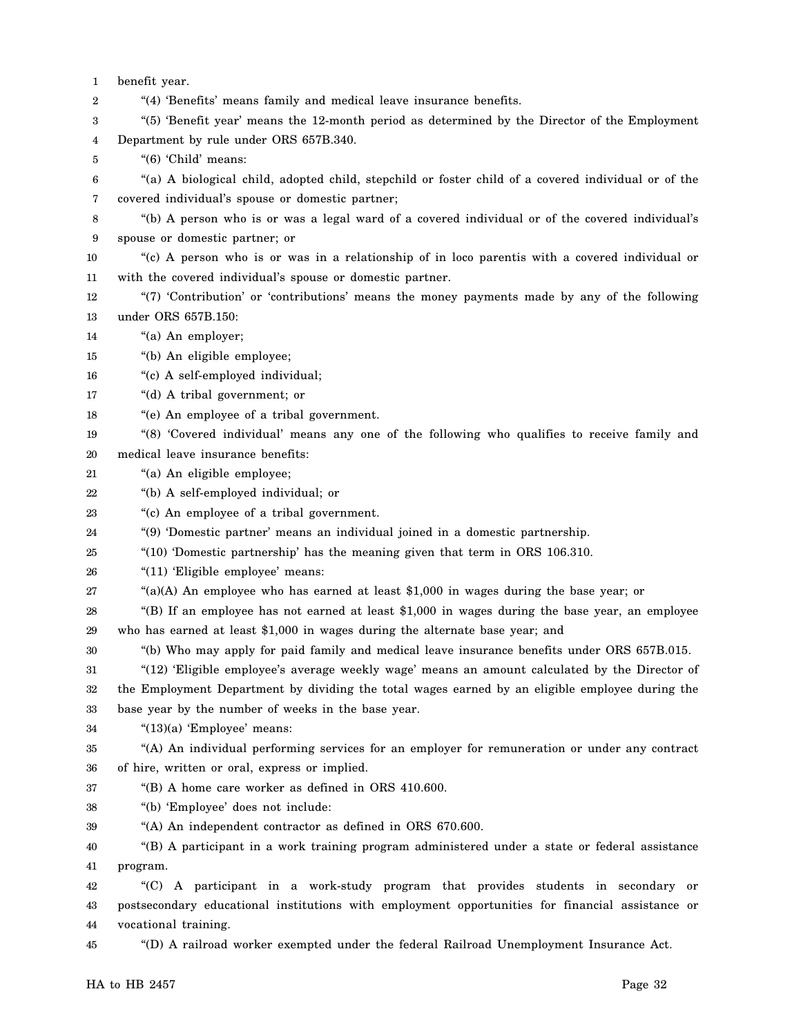1 benefit year.

2 "(4) 'Benefits' means family and medical leave insurance benefits.

3 4 "(5) 'Benefit year' means the 12-month period as determined by the Director of the Employment Department by rule under ORS 657B.340.

5 "(6) 'Child' means:

6 7 "(a) A biological child, adopted child, stepchild or foster child of a covered individual or of the covered individual's spouse or domestic partner;

8 9 "(b) A person who is or was a legal ward of a covered individual or of the covered individual's spouse or domestic partner; or

- 10 11 "(c) A person who is or was in a relationship of in loco parentis with a covered individual or with the covered individual's spouse or domestic partner.
- 12 13 "(7) 'Contribution' or 'contributions' means the money payments made by any of the following under ORS 657B.150:
- 14 "(a) An employer;
- 15 "(b) An eligible employee;

16 "(c) A self-employed individual;

- 17 "(d) A tribal government; or
- 18 "(e) An employee of a tribal government.
- 19 20 "(8) 'Covered individual' means any one of the following who qualifies to receive family and medical leave insurance benefits:
- 21 "(a) An eligible employee;
- 22 "(b) A self-employed individual; or
- 23 "(c) An employee of a tribal government.
- 24 "(9) 'Domestic partner' means an individual joined in a domestic partnership.
- 25 "(10) 'Domestic partnership' has the meaning given that term in ORS 106.310.
- 26 "(11) 'Eligible employee' means:
- 27  $((a)(A)$  An employee who has earned at least \$1,000 in wages during the base year; or
- 28 29 "(B) If an employee has not earned at least \$1,000 in wages during the base year, an employee who has earned at least \$1,000 in wages during the alternate base year; and
- 30 "(b) Who may apply for paid family and medical leave insurance benefits under ORS 657B.015.

31 32 "(12) 'Eligible employee's average weekly wage' means an amount calculated by the Director of the Employment Department by dividing the total wages earned by an eligible employee during the

33 base year by the number of weeks in the base year.

34 "(13)(a) 'Employee' means:

35 36 "(A) An individual performing services for an employer for remuneration or under any contract of hire, written or oral, express or implied.

37 "(B) A home care worker as defined in ORS 410.600.

- 38 "(b) 'Employee' does not include:
- 39 "(A) An independent contractor as defined in ORS 670.600.

40 41 "(B) A participant in a work training program administered under a state or federal assistance program.

42 43 44 "(C) A participant in a work-study program that provides students in secondary or postsecondary educational institutions with employment opportunities for financial assistance or vocational training.

45 "(D) A railroad worker exempted under the federal Railroad Unemployment Insurance Act.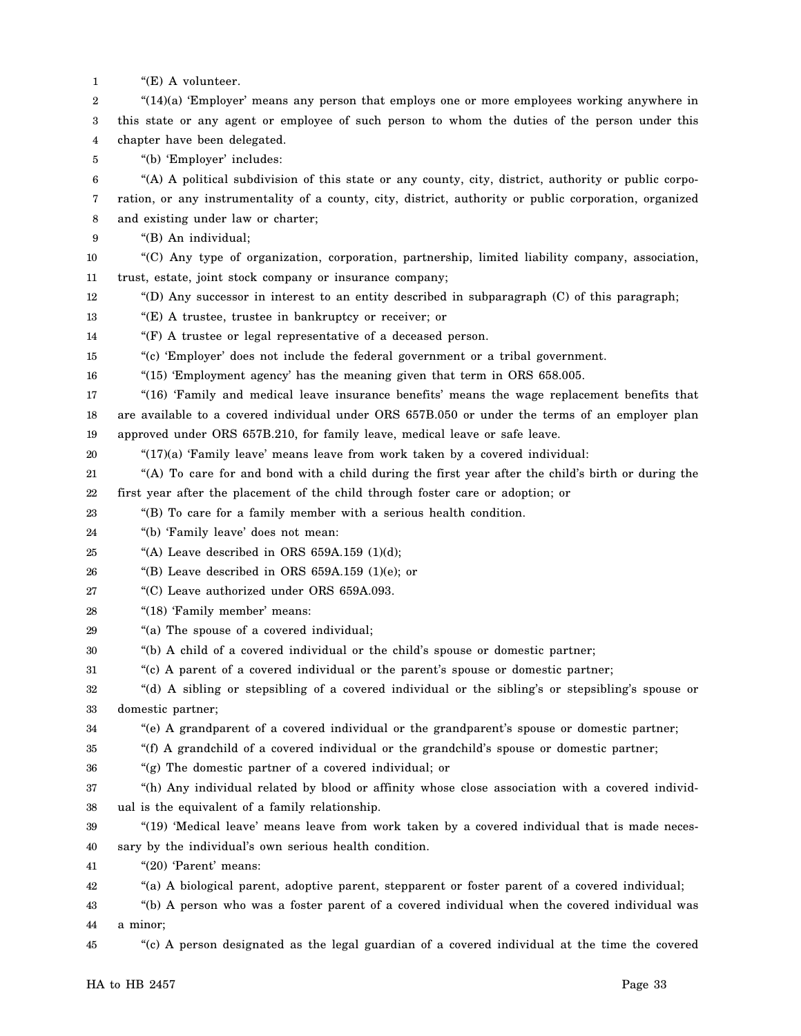- 1 "(E) A volunteer.
- 2 3 4 "(14)(a) 'Employer' means any person that employs one or more employees working anywhere in this state or any agent or employee of such person to whom the duties of the person under this chapter have been delegated.
- 5 "(b) 'Employer' includes:

6 7 8 "(A) A political subdivision of this state or any county, city, district, authority or public corporation, or any instrumentality of a county, city, district, authority or public corporation, organized and existing under law or charter;

9 "(B) An individual;

- 10 11 "(C) Any type of organization, corporation, partnership, limited liability company, association, trust, estate, joint stock company or insurance company;
- 12 "(D) Any successor in interest to an entity described in subparagraph  $(C)$  of this paragraph;
- 13 "(E) A trustee, trustee in bankruptcy or receiver; or
- 14 "(F) A trustee or legal representative of a deceased person.
- 15 "(c) 'Employer' does not include the federal government or a tribal government.
- 16 "(15) 'Employment agency' has the meaning given that term in ORS 658.005.
- 17 18 19 "(16) 'Family and medical leave insurance benefits' means the wage replacement benefits that are available to a covered individual under ORS 657B.050 or under the terms of an employer plan approved under ORS 657B.210, for family leave, medical leave or safe leave.
- 20
	- "(17)(a) 'Family leave' means leave from work taken by a covered individual:
- 21 22 "(A) To care for and bond with a child during the first year after the child's birth or during the first year after the placement of the child through foster care or adoption; or
- 23 "(B) To care for a family member with a serious health condition.
- 24 "(b) 'Family leave' does not mean:
- 25 "(A) Leave described in ORS  $659A.159$  (1)(d);
- 26 "(B) Leave described in ORS  $659A.159$  (1)(e); or
- 27 "(C) Leave authorized under ORS 659A.093.
- 28 "(18) 'Family member' means:
- 29 "(a) The spouse of a covered individual;
- 30 "(b) A child of a covered individual or the child's spouse or domestic partner;
- 31 "(c) A parent of a covered individual or the parent's spouse or domestic partner;
- 32 33 "(d) A sibling or stepsibling of a covered individual or the sibling's or stepsibling's spouse or domestic partner;
- 34 "(e) A grandparent of a covered individual or the grandparent's spouse or domestic partner;
- 35 "(f) A grandchild of a covered individual or the grandchild's spouse or domestic partner;
- 36 "(g) The domestic partner of a covered individual; or
- 37 38 "(h) Any individual related by blood or affinity whose close association with a covered individual is the equivalent of a family relationship.
- 39 40 "(19) 'Medical leave' means leave from work taken by a covered individual that is made necessary by the individual's own serious health condition.
- 41 "(20) 'Parent' means:
- 42 "(a) A biological parent, adoptive parent, stepparent or foster parent of a covered individual;
- 43 44 "(b) A person who was a foster parent of a covered individual when the covered individual was a minor;
- 45 "(c) A person designated as the legal guardian of a covered individual at the time the covered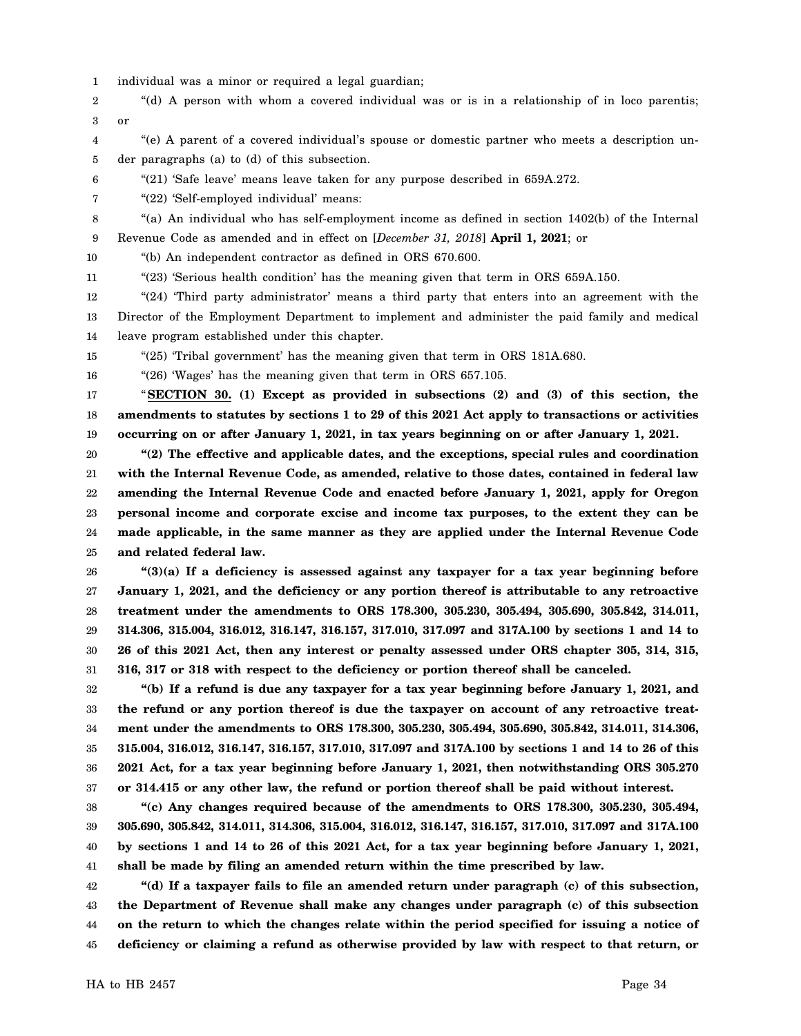- 1 individual was a minor or required a legal guardian;
- 2 3 "(d) A person with whom a covered individual was or is in a relationship of in loco parentis; or
- 4 5 "(e) A parent of a covered individual's spouse or domestic partner who meets a description under paragraphs (a) to (d) of this subsection.
- 6 "(21) 'Safe leave' means leave taken for any purpose described in 659A.272.
- 7 "(22) 'Self-employed individual' means:
- 8 9 "(a) An individual who has self-employment income as defined in section 1402(b) of the Internal Revenue Code as amended and in effect on [*December 31, 2018*] **April 1, 2021**; or
- 10 "(b) An independent contractor as defined in ORS 670.600.
- 11 "(23) 'Serious health condition' has the meaning given that term in ORS 659A.150.
- 12 13 14 "(24) 'Third party administrator' means a third party that enters into an agreement with the Director of the Employment Department to implement and administer the paid family and medical leave program established under this chapter.
- 15 "(25) 'Tribal government' has the meaning given that term in ORS 181A.680.

16 "(26) 'Wages' has the meaning given that term in ORS 657.105.

17 18 19 "**SECTION 30. (1) Except as provided in subsections (2) and (3) of this section, the amendments to statutes by sections 1 to 29 of this 2021 Act apply to transactions or activities occurring on or after January 1, 2021, in tax years beginning on or after January 1, 2021.**

20 21 22 23 24 25 **"(2) The effective and applicable dates, and the exceptions, special rules and coordination with the Internal Revenue Code, as amended, relative to those dates, contained in federal law amending the Internal Revenue Code and enacted before January 1, 2021, apply for Oregon personal income and corporate excise and income tax purposes, to the extent they can be made applicable, in the same manner as they are applied under the Internal Revenue Code and related federal law.**

26 27 28 29 30 31 **"(3)(a) If a deficiency is assessed against any taxpayer for a tax year beginning before January 1, 2021, and the deficiency or any portion thereof is attributable to any retroactive treatment under the amendments to ORS 178.300, 305.230, 305.494, 305.690, 305.842, 314.011, 314.306, 315.004, 316.012, 316.147, 316.157, 317.010, 317.097 and 317A.100 by sections 1 and 14 to 26 of this 2021 Act, then any interest or penalty assessed under ORS chapter 305, 314, 315, 316, 317 or 318 with respect to the deficiency or portion thereof shall be canceled.**

32 33 34 35 36 37 **"(b) If a refund is due any taxpayer for a tax year beginning before January 1, 2021, and the refund or any portion thereof is due the taxpayer on account of any retroactive treatment under the amendments to ORS 178.300, 305.230, 305.494, 305.690, 305.842, 314.011, 314.306, 315.004, 316.012, 316.147, 316.157, 317.010, 317.097 and 317A.100 by sections 1 and 14 to 26 of this 2021 Act, for a tax year beginning before January 1, 2021, then notwithstanding ORS 305.270 or 314.415 or any other law, the refund or portion thereof shall be paid without interest.**

38 39 40 41 **"(c) Any changes required because of the amendments to ORS 178.300, 305.230, 305.494, 305.690, 305.842, 314.011, 314.306, 315.004, 316.012, 316.147, 316.157, 317.010, 317.097 and 317A.100 by sections 1 and 14 to 26 of this 2021 Act, for a tax year beginning before January 1, 2021, shall be made by filing an amended return within the time prescribed by law.**

42 43 44 45 **"(d) If a taxpayer fails to file an amended return under paragraph (c) of this subsection, the Department of Revenue shall make any changes under paragraph (c) of this subsection on the return to which the changes relate within the period specified for issuing a notice of deficiency or claiming a refund as otherwise provided by law with respect to that return, or**